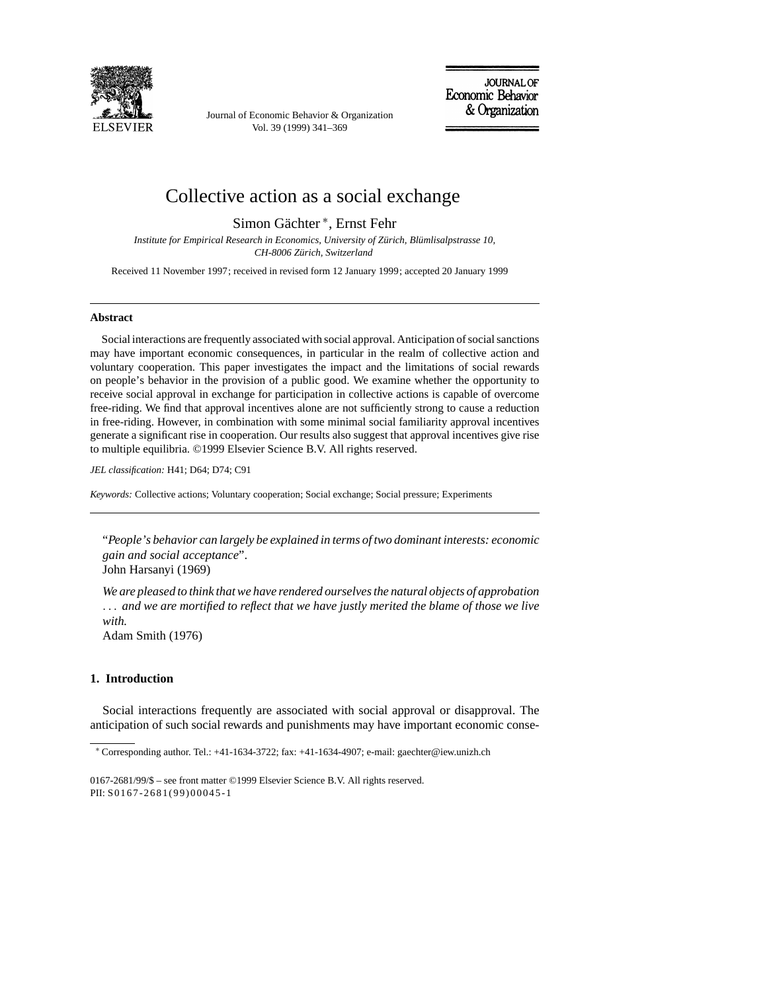

Journal of Economic Behavior & Organization Vol. 39 (1999) 341–369

**JOURNAL OF** Economic Behavior & Organization

# Collective action as a social exchange

Simon Gächter ∗, Ernst Fehr

*Institute for Empirical Research in Economics, University of Zürich, Blümlisalpstrasse 10, CH-8006 Zürich, Switzerland*

Received 11 November 1997; received in revised form 12 January 1999; accepted 20 January 1999

#### **Abstract**

Social interactions are frequently associated with social approval. Anticipation of social sanctions may have important economic consequences, in particular in the realm of collective action and voluntary cooperation. This paper investigates the impact and the limitations of social rewards on people's behavior in the provision of a public good. We examine whether the opportunity to receive social approval in exchange for participation in collective actions is capable of overcome free-riding. We find that approval incentives alone are not sufficiently strong to cause a reduction in free-riding. However, in combination with some minimal social familiarity approval incentives generate a significant rise in cooperation. Our results also suggest that approval incentives give rise to multiple equilibria. ©1999 Elsevier Science B.V. All rights reserved.

*JEL classification:* H41; D64; D74; C91

*Keywords:* Collective actions; Voluntary cooperation; Social exchange; Social pressure; Experiments

"*People's behavior can largely be explained in terms of two dominant interests: economic gain and social acceptance*".

John Harsanyi (1969)

*We are pleased to think that we have rendered ourselves the natural objects of approbation* ... *and we are mortified to reflect that we have justly merited the blame of those we live with.*

Adam Smith (1976)

# **1. Introduction**

Social interactions frequently are associated with social approval or disapproval. The anticipation of such social rewards and punishments may have important economic conse-

<sup>∗</sup> Corresponding author. Tel.: +41-1634-3722; fax: +41-1634-4907; e-mail: gaechter@iew.unizh.ch

<sup>0167-2681/99/\$ –</sup> see front matter ©1999 Elsevier Science B.V. All rights reserved. PII: S0167-2681(99)00045-1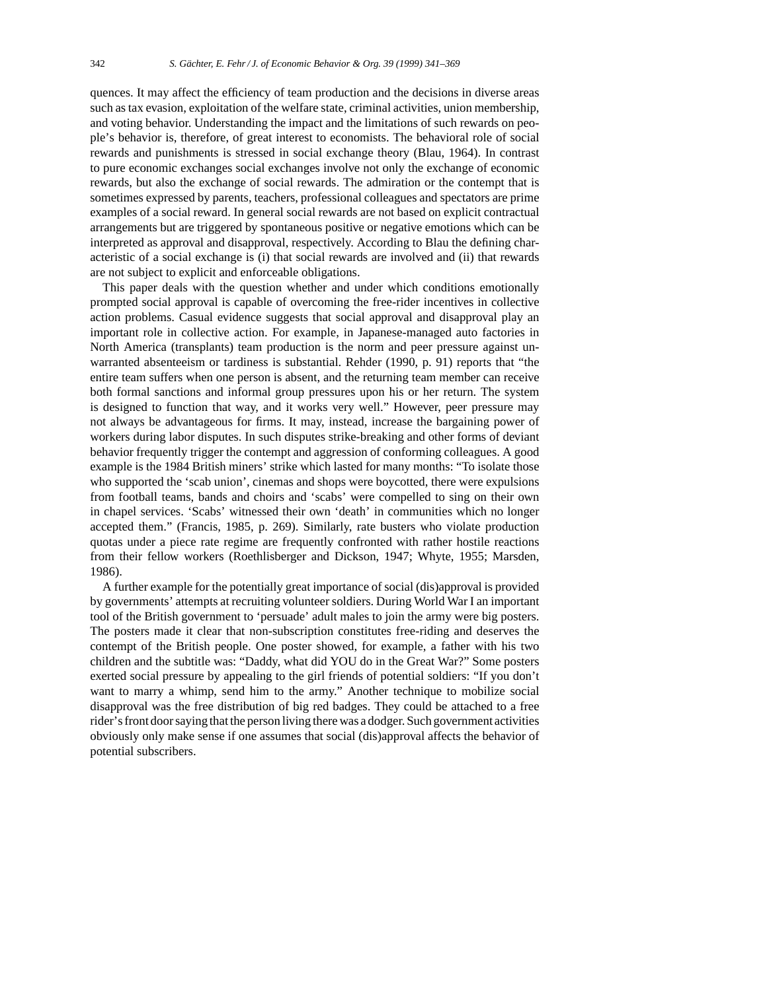quences. It may affect the efficiency of team production and the decisions in diverse areas such as tax evasion, exploitation of the welfare state, criminal activities, union membership, and voting behavior. Understanding the impact and the limitations of such rewards on people's behavior is, therefore, of great interest to economists. The behavioral role of social rewards and punishments is stressed in social exchange theory (Blau, 1964). In contrast to pure economic exchanges social exchanges involve not only the exchange of economic rewards, but also the exchange of social rewards. The admiration or the contempt that is sometimes expressed by parents, teachers, professional colleagues and spectators are prime examples of a social reward. In general social rewards are not based on explicit contractual arrangements but are triggered by spontaneous positive or negative emotions which can be interpreted as approval and disapproval, respectively. According to Blau the defining characteristic of a social exchange is (i) that social rewards are involved and (ii) that rewards are not subject to explicit and enforceable obligations.

This paper deals with the question whether and under which conditions emotionally prompted social approval is capable of overcoming the free-rider incentives in collective action problems. Casual evidence suggests that social approval and disapproval play an important role in collective action. For example, in Japanese-managed auto factories in North America (transplants) team production is the norm and peer pressure against unwarranted absenteeism or tardiness is substantial. Rehder (1990, p. 91) reports that "the entire team suffers when one person is absent, and the returning team member can receive both formal sanctions and informal group pressures upon his or her return. The system is designed to function that way, and it works very well." However, peer pressure may not always be advantageous for firms. It may, instead, increase the bargaining power of workers during labor disputes. In such disputes strike-breaking and other forms of deviant behavior frequently trigger the contempt and aggression of conforming colleagues. A good example is the 1984 British miners' strike which lasted for many months: "To isolate those who supported the 'scab union', cinemas and shops were boycotted, there were expulsions from football teams, bands and choirs and 'scabs' were compelled to sing on their own in chapel services. 'Scabs' witnessed their own 'death' in communities which no longer accepted them." (Francis, 1985, p. 269). Similarly, rate busters who violate production quotas under a piece rate regime are frequently confronted with rather hostile reactions from their fellow workers (Roethlisberger and Dickson, 1947; Whyte, 1955; Marsden, 1986).

A further example for the potentially great importance of social (dis)approval is provided by governments' attempts at recruiting volunteer soldiers. During World War I an important tool of the British government to 'persuade' adult males to join the army were big posters. The posters made it clear that non-subscription constitutes free-riding and deserves the contempt of the British people. One poster showed, for example, a father with his two children and the subtitle was: "Daddy, what did YOU do in the Great War?" Some posters exerted social pressure by appealing to the girl friends of potential soldiers: "If you don't want to marry a whimp, send him to the army." Another technique to mobilize social disapproval was the free distribution of big red badges. They could be attached to a free rider's front door saying that the person living there was a dodger. Such government activities obviously only make sense if one assumes that social (dis)approval affects the behavior of potential subscribers.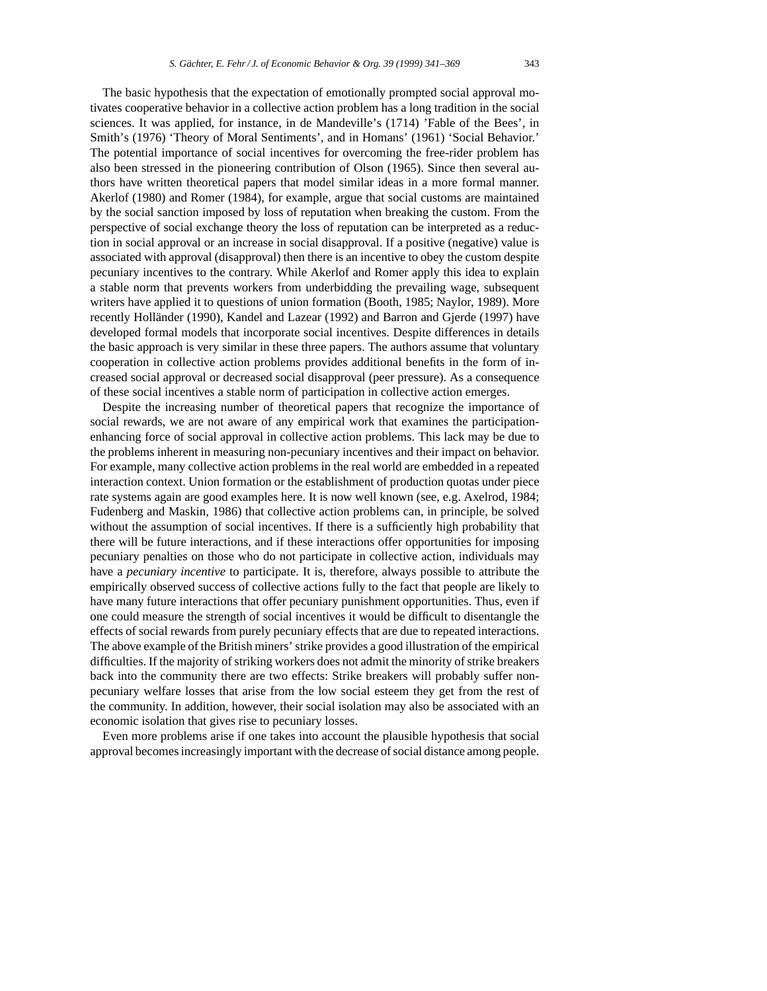The basic hypothesis that the expectation of emotionally prompted social approval motivates cooperative behavior in a collective action problem has a long tradition in the social sciences. It was applied, for instance, in de Mandeville's (1714) 'Fable of the Bees', in Smith's (1976) 'Theory of Moral Sentiments', and in Homans' (1961) 'Social Behavior.' The potential importance of social incentives for overcoming the free-rider problem has also been stressed in the pioneering contribution of Olson (1965). Since then several authors have written theoretical papers that model similar ideas in a more formal manner. Akerlof (1980) and Romer (1984), for example, argue that social customs are maintained by the social sanction imposed by loss of reputation when breaking the custom. From the perspective of social exchange theory the loss of reputation can be interpreted as a reduction in social approval or an increase in social disapproval. If a positive (negative) value is associated with approval (disapproval) then there is an incentive to obey the custom despite pecuniary incentives to the contrary. While Akerlof and Romer apply this idea to explain a stable norm that prevents workers from underbidding the prevailing wage, subsequent writers have applied it to questions of union formation (Booth, 1985; Naylor, 1989). More recently Holländer (1990), Kandel and Lazear (1992) and Barron and Gjerde (1997) have developed formal models that incorporate social incentives. Despite differences in details the basic approach is very similar in these three papers. The authors assume that voluntary cooperation in collective action problems provides additional benefits in the form of increased social approval or decreased social disapproval (peer pressure). As a consequence of these social incentives a stable norm of participation in collective action emerges.

Despite the increasing number of theoretical papers that recognize the importance of social rewards, we are not aware of any empirical work that examines the participationenhancing force of social approval in collective action problems. This lack may be due to the problems inherent in measuring non-pecuniary incentives and their impact on behavior. For example, many collective action problems in the real world are embedded in a repeated interaction context. Union formation or the establishment of production quotas under piece rate systems again are good examples here. It is now well known (see, e.g. Axelrod, 1984; Fudenberg and Maskin, 1986) that collective action problems can, in principle, be solved without the assumption of social incentives. If there is a sufficiently high probability that there will be future interactions, and if these interactions offer opportunities for imposing pecuniary penalties on those who do not participate in collective action, individuals may have a *pecuniary incentive* to participate. It is, therefore, always possible to attribute the empirically observed success of collective actions fully to the fact that people are likely to have many future interactions that offer pecuniary punishment opportunities. Thus, even if one could measure the strength of social incentives it would be difficult to disentangle the effects of social rewards from purely pecuniary effects that are due to repeated interactions. The above example of the British miners' strike provides a good illustration of the empirical difficulties. If the majority of striking workers does not admit the minority of strike breakers back into the community there are two effects: Strike breakers will probably suffer nonpecuniary welfare losses that arise from the low social esteem they get from the rest of the community. In addition, however, their social isolation may also be associated with an economic isolation that gives rise to pecuniary losses.

Even more problems arise if one takes into account the plausible hypothesis that social approval becomes increasingly important with the decrease of social distance among people.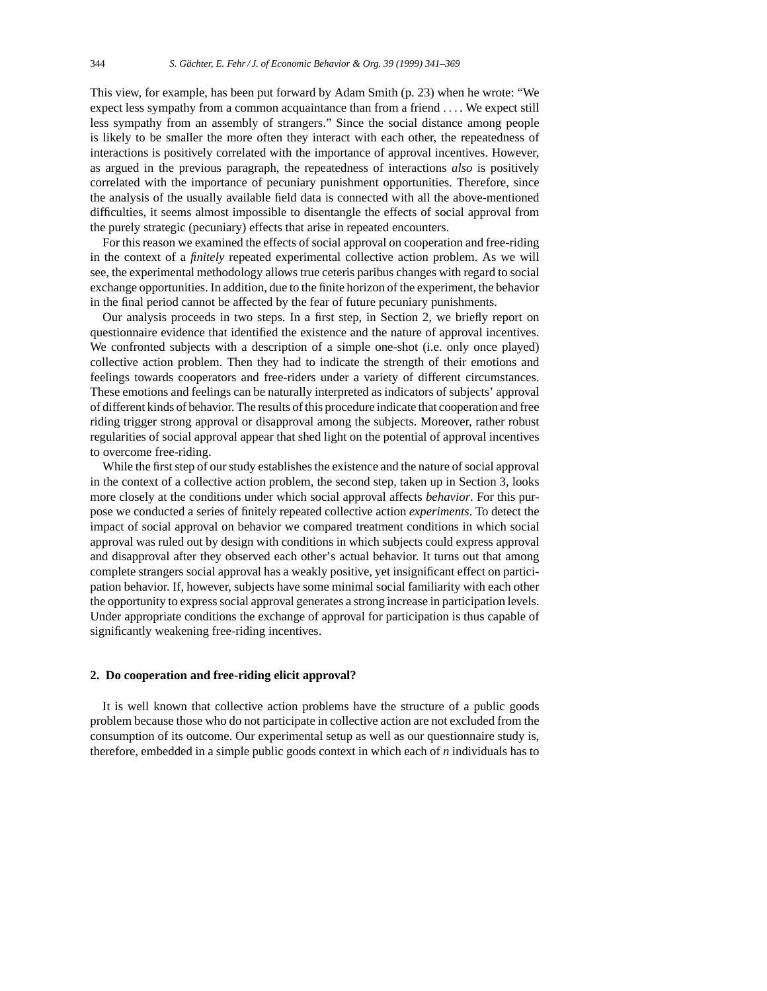This view, for example, has been put forward by Adam Smith (p. 23) when he wrote: "We expect less sympathy from a common acquaintance than from a friend ... . We expect still less sympathy from an assembly of strangers." Since the social distance among people is likely to be smaller the more often they interact with each other, the repeatedness of interactions is positively correlated with the importance of approval incentives. However, as argued in the previous paragraph, the repeatedness of interactions *also* is positively correlated with the importance of pecuniary punishment opportunities. Therefore, since the analysis of the usually available field data is connected with all the above-mentioned difficulties, it seems almost impossible to disentangle the effects of social approval from the purely strategic (pecuniary) effects that arise in repeated encounters.

For this reason we examined the effects of social approval on cooperation and free-riding in the context of a *finitely* repeated experimental collective action problem. As we will see, the experimental methodology allows true ceteris paribus changes with regard to social exchange opportunities. In addition, due to the finite horizon of the experiment, the behavior in the final period cannot be affected by the fear of future pecuniary punishments.

Our analysis proceeds in two steps. In a first step, in Section 2, we briefly report on questionnaire evidence that identified the existence and the nature of approval incentives. We confronted subjects with a description of a simple one-shot (i.e. only once played) collective action problem. Then they had to indicate the strength of their emotions and feelings towards cooperators and free-riders under a variety of different circumstances. These emotions and feelings can be naturally interpreted as indicators of subjects' approval of different kinds of behavior. The results of this procedure indicate that cooperation and free riding trigger strong approval or disapproval among the subjects. Moreover, rather robust regularities of social approval appear that shed light on the potential of approval incentives to overcome free-riding.

While the first step of our study establishes the existence and the nature of social approval in the context of a collective action problem, the second step, taken up in Section 3, looks more closely at the conditions under which social approval affects *behavior*. For this purpose we conducted a series of finitely repeated collective action *experiments*. To detect the impact of social approval on behavior we compared treatment conditions in which social approval was ruled out by design with conditions in which subjects could express approval and disapproval after they observed each other's actual behavior. It turns out that among complete strangers social approval has a weakly positive, yet insignificant effect on participation behavior. If, however, subjects have some minimal social familiarity with each other the opportunity to express social approval generates a strong increase in participation levels. Under appropriate conditions the exchange of approval for participation is thus capable of significantly weakening free-riding incentives.

# **2. Do cooperation and free-riding elicit approval?**

It is well known that collective action problems have the structure of a public goods problem because those who do not participate in collective action are not excluded from the consumption of its outcome. Our experimental setup as well as our questionnaire study is, therefore, embedded in a simple public goods context in which each of *n* individuals has to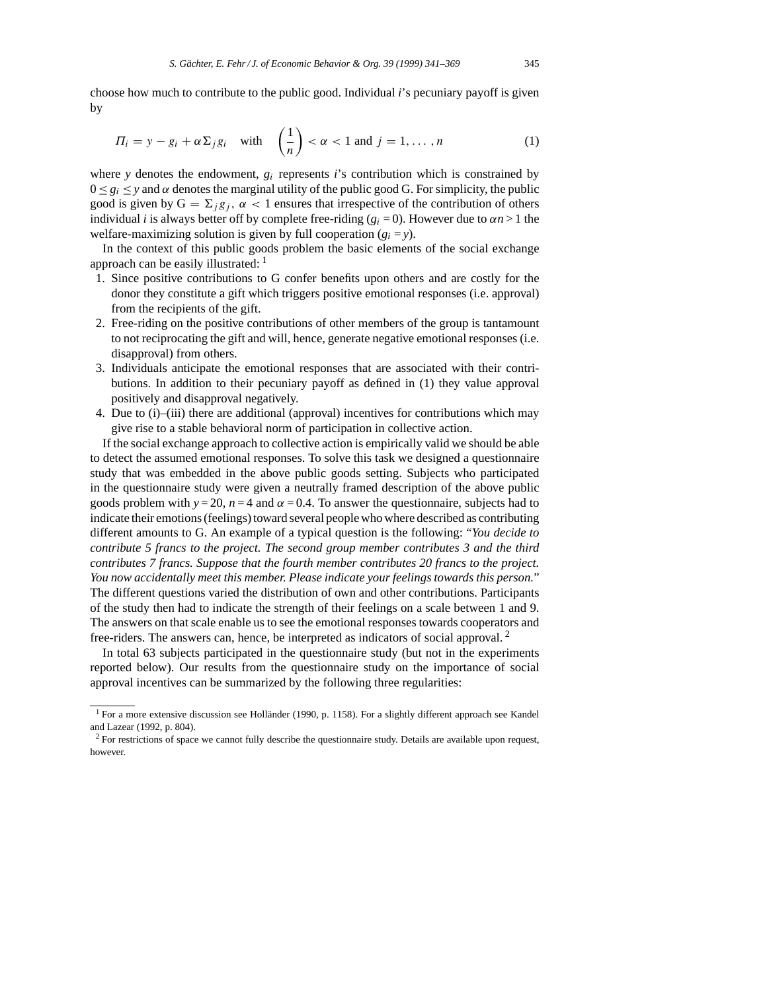choose how much to contribute to the public good. Individual *i*'s pecuniary payoff is given by

$$
\Pi_i = y - g_i + \alpha \Sigma_j g_i \quad \text{with} \quad \left(\frac{1}{n}\right) < \alpha < 1 \text{ and } j = 1, \dots, n \tag{1}
$$

where *y* denotes the endowment,  $g_i$  represents *i*'s contribution which is constrained by  $0 \le g_i \le y$  and  $\alpha$  denotes the marginal utility of the public good G. For simplicity, the public good is given by  $G = \sum_{i} g_i$ ,  $\alpha < 1$  ensures that irrespective of the contribution of others individual *i* is always better off by complete free-riding  $(g_i = 0)$ . However due to  $\alpha n > 1$  the welfare-maximizing solution is given by full cooperation  $(g_i = y)$ .

In the context of this public goods problem the basic elements of the social exchange approach can be easily illustrated:  $\frac{1}{1}$ 

- 1. Since positive contributions to G confer benefits upon others and are costly for the donor they constitute a gift which triggers positive emotional responses (i.e. approval) from the recipients of the gift.
- 2. Free-riding on the positive contributions of other members of the group is tantamount to not reciprocating the gift and will, hence, generate negative emotional responses (i.e. disapproval) from others.
- 3. Individuals anticipate the emotional responses that are associated with their contributions. In addition to their pecuniary payoff as defined in (1) they value approval positively and disapproval negatively.
- 4. Due to (i)–(iii) there are additional (approval) incentives for contributions which may give rise to a stable behavioral norm of participation in collective action.

If the social exchange approach to collective action is empirically valid we should be able to detect the assumed emotional responses. To solve this task we designed a questionnaire study that was embedded in the above public goods setting. Subjects who participated in the questionnaire study were given a neutrally framed description of the above public goods problem with  $y = 20$ ,  $n = 4$  and  $\alpha = 0.4$ . To answer the questionnaire, subjects had to indicate their emotions (feelings) toward several people who where described as contributing different amounts to G. An example of a typical question is the following: "*You decide to contribute 5 francs to the project. The second group member contributes 3 and the third contributes 7 francs. Suppose that the fourth member contributes 20 francs to the project. You now accidentally meet this member. Please indicate your feelings towards this person.*" The different questions varied the distribution of own and other contributions. Participants of the study then had to indicate the strength of their feelings on a scale between 1 and 9. The answers on that scale enable us to see the emotional responses towards cooperators and free-riders. The answers can, hence, be interpreted as indicators of social approval.<sup>2</sup>

In total 63 subjects participated in the questionnaire study (but not in the experiments reported below). Our results from the questionnaire study on the importance of social approval incentives can be summarized by the following three regularities:

<sup>&</sup>lt;sup>1</sup> For a more extensive discussion see Holländer (1990, p. 1158). For a slightly different approach see Kandel and Lazear (1992, p. 804).

 $2$  For restrictions of space we cannot fully describe the questionnaire study. Details are available upon request, however.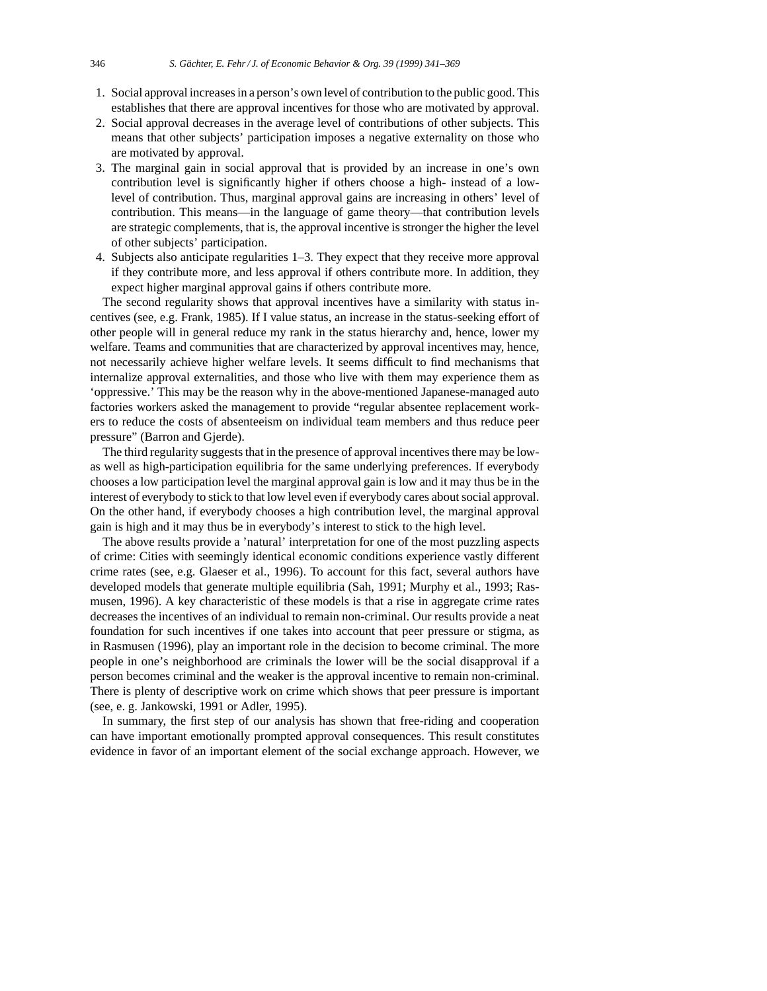- 1. Social approval increases in a person's own level of contribution to the public good. This establishes that there are approval incentives for those who are motivated by approval.
- 2. Social approval decreases in the average level of contributions of other subjects. This means that other subjects' participation imposes a negative externality on those who are motivated by approval.
- 3. The marginal gain in social approval that is provided by an increase in one's own contribution level is significantly higher if others choose a high- instead of a lowlevel of contribution. Thus, marginal approval gains are increasing in others' level of contribution. This means—in the language of game theory—that contribution levels are strategic complements, that is, the approval incentive is stronger the higher the level of other subjects' participation.
- 4. Subjects also anticipate regularities 1–3. They expect that they receive more approval if they contribute more, and less approval if others contribute more. In addition, they expect higher marginal approval gains if others contribute more.

The second regularity shows that approval incentives have a similarity with status incentives (see, e.g. Frank, 1985). If I value status, an increase in the status-seeking effort of other people will in general reduce my rank in the status hierarchy and, hence, lower my welfare. Teams and communities that are characterized by approval incentives may, hence, not necessarily achieve higher welfare levels. It seems difficult to find mechanisms that internalize approval externalities, and those who live with them may experience them as 'oppressive.' This may be the reason why in the above-mentioned Japanese-managed auto factories workers asked the management to provide "regular absentee replacement workers to reduce the costs of absenteeism on individual team members and thus reduce peer pressure" (Barron and Gjerde).

The third regularity suggests that in the presence of approval incentives there may be lowas well as high-participation equilibria for the same underlying preferences. If everybody chooses a low participation level the marginal approval gain is low and it may thus be in the interest of everybody to stick to that low level even if everybody cares about social approval. On the other hand, if everybody chooses a high contribution level, the marginal approval gain is high and it may thus be in everybody's interest to stick to the high level.

The above results provide a 'natural' interpretation for one of the most puzzling aspects of crime: Cities with seemingly identical economic conditions experience vastly different crime rates (see, e.g. Glaeser et al., 1996). To account for this fact, several authors have developed models that generate multiple equilibria (Sah, 1991; Murphy et al., 1993; Rasmusen, 1996). A key characteristic of these models is that a rise in aggregate crime rates decreases the incentives of an individual to remain non-criminal. Our results provide a neat foundation for such incentives if one takes into account that peer pressure or stigma, as in Rasmusen (1996), play an important role in the decision to become criminal. The more people in one's neighborhood are criminals the lower will be the social disapproval if a person becomes criminal and the weaker is the approval incentive to remain non-criminal. There is plenty of descriptive work on crime which shows that peer pressure is important (see, e. g. Jankowski, 1991 or Adler, 1995).

In summary, the first step of our analysis has shown that free-riding and cooperation can have important emotionally prompted approval consequences. This result constitutes evidence in favor of an important element of the social exchange approach. However, we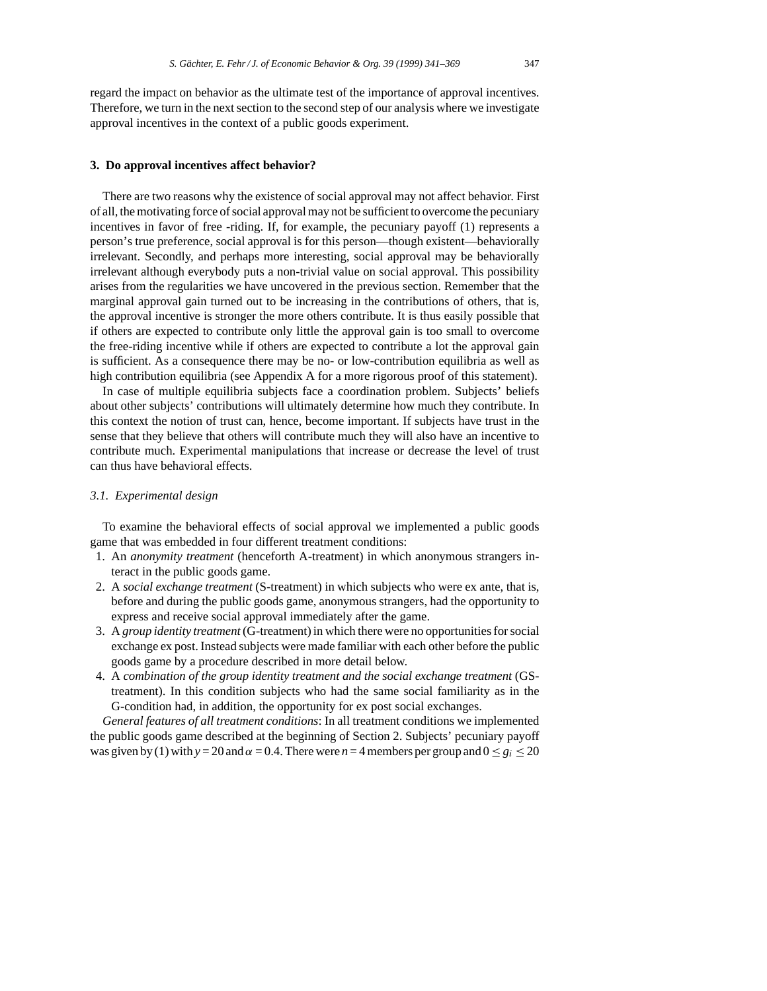regard the impact on behavior as the ultimate test of the importance of approval incentives. Therefore, we turn in the next section to the second step of our analysis where we investigate approval incentives in the context of a public goods experiment.

# **3. Do approval incentives affect behavior?**

There are two reasons why the existence of social approval may not affect behavior. First of all, the motivating force of social approval may not be sufficient to overcome the pecuniary incentives in favor of free -riding. If, for example, the pecuniary payoff (1) represents a person's true preference, social approval is for this person—though existent—behaviorally irrelevant. Secondly, and perhaps more interesting, social approval may be behaviorally irrelevant although everybody puts a non-trivial value on social approval. This possibility arises from the regularities we have uncovered in the previous section. Remember that the marginal approval gain turned out to be increasing in the contributions of others, that is, the approval incentive is stronger the more others contribute. It is thus easily possible that if others are expected to contribute only little the approval gain is too small to overcome the free-riding incentive while if others are expected to contribute a lot the approval gain is sufficient. As a consequence there may be no- or low-contribution equilibria as well as high contribution equilibria (see Appendix A for a more rigorous proof of this statement).

In case of multiple equilibria subjects face a coordination problem. Subjects' beliefs about other subjects' contributions will ultimately determine how much they contribute. In this context the notion of trust can, hence, become important. If subjects have trust in the sense that they believe that others will contribute much they will also have an incentive to contribute much. Experimental manipulations that increase or decrease the level of trust can thus have behavioral effects.

# *3.1. Experimental design*

To examine the behavioral effects of social approval we implemented a public goods game that was embedded in four different treatment conditions:

- 1. An *anonymity treatment* (henceforth A-treatment) in which anonymous strangers interact in the public goods game.
- 2. A *social exchange treatment* (S-treatment) in which subjects who were ex ante, that is, before and during the public goods game, anonymous strangers, had the opportunity to express and receive social approval immediately after the game.
- 3. A *group identity treatment* (G-treatment) in which there were no opportunities for social exchange ex post. Instead subjects were made familiar with each other before the public goods game by a procedure described in more detail below.
- 4. A *combination of the group identity treatment and the social exchange treatment* (GStreatment). In this condition subjects who had the same social familiarity as in the G-condition had, in addition, the opportunity for ex post social exchanges.

*General features of all treatment conditions*: In all treatment conditions we implemented the public goods game described at the beginning of Section 2. Subjects' pecuniary payoff was given by (1) with  $y = 20$  and  $\alpha = 0.4$ . There were  $n = 4$  members per group and  $0 \le g_i \le 20$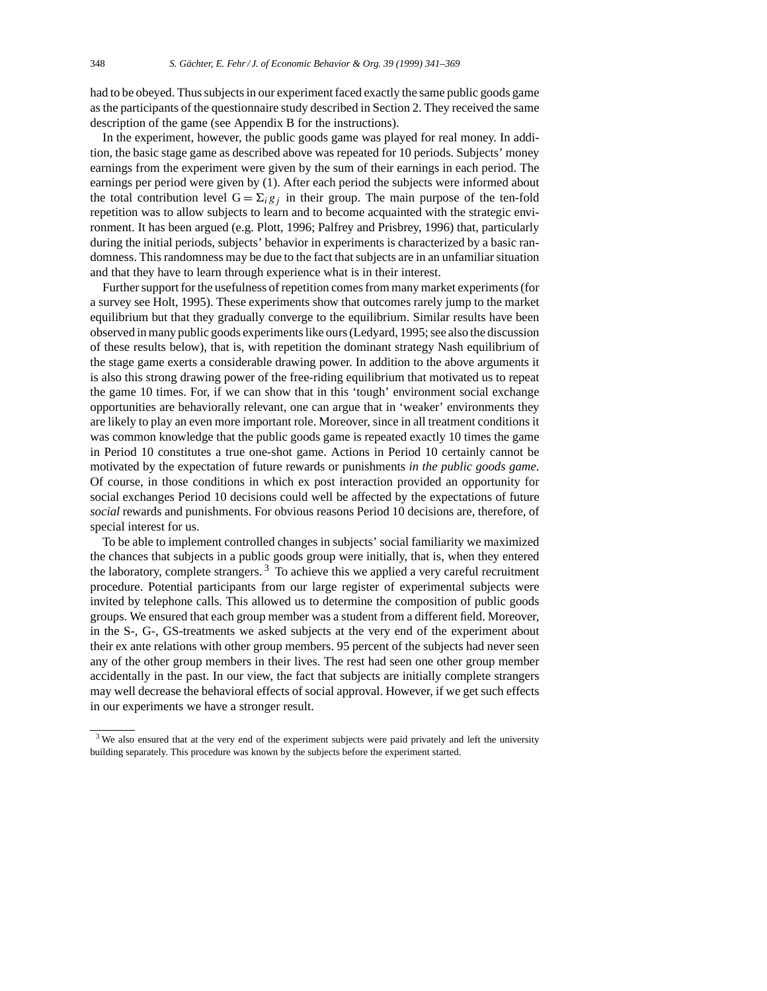had to be obeyed. Thus subjects in our experiment faced exactly the same public goods game as the participants of the questionnaire study described in Section 2. They received the same description of the game (see Appendix B for the instructions).

In the experiment, however, the public goods game was played for real money. In addition, the basic stage game as described above was repeated for 10 periods. Subjects' money earnings from the experiment were given by the sum of their earnings in each period. The earnings per period were given by (1). After each period the subjects were informed about the total contribution level  $G = \sum_i g_i$  in their group. The main purpose of the ten-fold repetition was to allow subjects to learn and to become acquainted with the strategic environment. It has been argued (e.g. Plott, 1996; Palfrey and Prisbrey, 1996) that, particularly during the initial periods, subjects' behavior in experiments is characterized by a basic randomness. This randomness may be due to the fact that subjects are in an unfamiliar situation and that they have to learn through experience what is in their interest.

Further support for the usefulness of repetition comes from many market experiments (for a survey see Holt, 1995). These experiments show that outcomes rarely jump to the market equilibrium but that they gradually converge to the equilibrium. Similar results have been observed in many public goods experiments like ours (Ledyard, 1995; see also the discussion of these results below), that is, with repetition the dominant strategy Nash equilibrium of the stage game exerts a considerable drawing power. In addition to the above arguments it is also this strong drawing power of the free-riding equilibrium that motivated us to repeat the game 10 times. For, if we can show that in this 'tough' environment social exchange opportunities are behaviorally relevant, one can argue that in 'weaker' environments they are likely to play an even more important role. Moreover, since in all treatment conditions it was common knowledge that the public goods game is repeated exactly 10 times the game in Period 10 constitutes a true one-shot game. Actions in Period 10 certainly cannot be motivated by the expectation of future rewards or punishments *in the public goods game*. Of course, in those conditions in which ex post interaction provided an opportunity for social exchanges Period 10 decisions could well be affected by the expectations of future *social* rewards and punishments. For obvious reasons Period 10 decisions are, therefore, of special interest for us.

To be able to implement controlled changes in subjects' social familiarity we maximized the chances that subjects in a public goods group were initially, that is, when they entered the laboratory, complete strangers.<sup>3</sup> To achieve this we applied a very careful recruitment procedure. Potential participants from our large register of experimental subjects were invited by telephone calls. This allowed us to determine the composition of public goods groups. We ensured that each group member was a student from a different field. Moreover, in the S-, G-, GS-treatments we asked subjects at the very end of the experiment about their ex ante relations with other group members. 95 percent of the subjects had never seen any of the other group members in their lives. The rest had seen one other group member accidentally in the past. In our view, the fact that subjects are initially complete strangers may well decrease the behavioral effects of social approval. However, if we get such effects in our experiments we have a stronger result.

<sup>&</sup>lt;sup>3</sup> We also ensured that at the very end of the experiment subjects were paid privately and left the university building separately. This procedure was known by the subjects before the experiment started.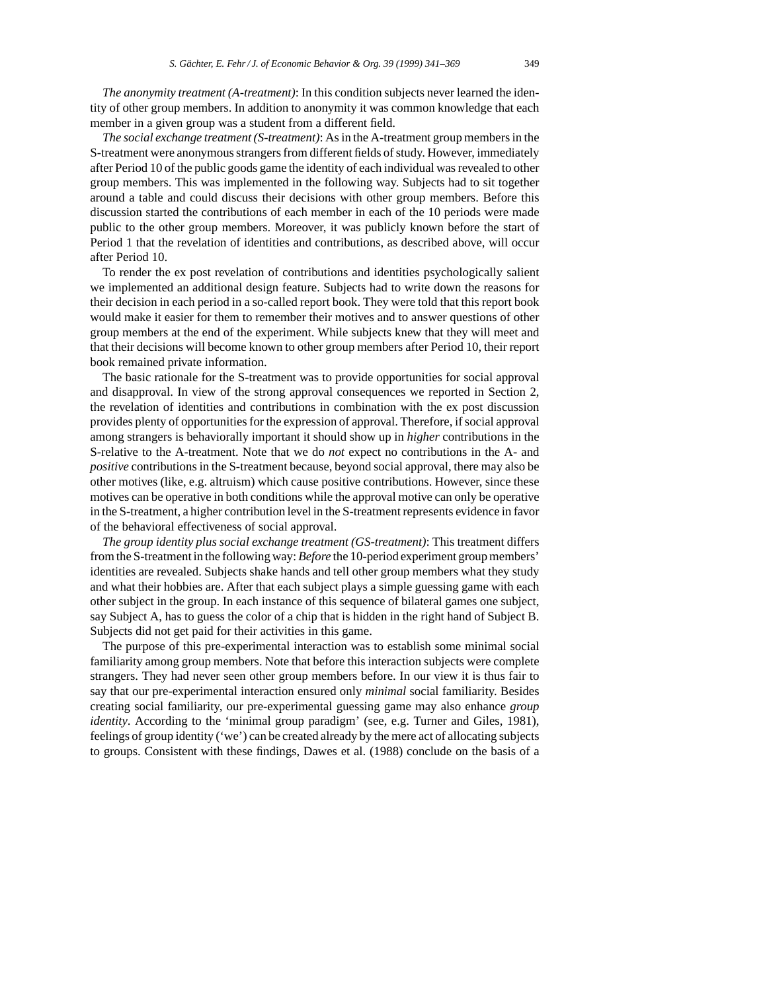*The anonymity treatment (A-treatment)*: In this condition subjects never learned the identity of other group members. In addition to anonymity it was common knowledge that each member in a given group was a student from a different field.

*The social exchange treatment (S-treatment)*: As in the A-treatment group members in the S-treatment were anonymous strangers from different fields of study. However, immediately after Period 10 of the public goods game the identity of each individual was revealed to other group members. This was implemented in the following way. Subjects had to sit together around a table and could discuss their decisions with other group members. Before this discussion started the contributions of each member in each of the 10 periods were made public to the other group members. Moreover, it was publicly known before the start of Period 1 that the revelation of identities and contributions, as described above, will occur after Period 10.

To render the ex post revelation of contributions and identities psychologically salient we implemented an additional design feature. Subjects had to write down the reasons for their decision in each period in a so-called report book. They were told that this report book would make it easier for them to remember their motives and to answer questions of other group members at the end of the experiment. While subjects knew that they will meet and that their decisions will become known to other group members after Period 10, their report book remained private information.

The basic rationale for the S-treatment was to provide opportunities for social approval and disapproval. In view of the strong approval consequences we reported in Section 2, the revelation of identities and contributions in combination with the ex post discussion provides plenty of opportunities for the expression of approval. Therefore, if social approval among strangers is behaviorally important it should show up in *higher* contributions in the S-relative to the A-treatment. Note that we do *not* expect no contributions in the A- and *positive* contributions in the S-treatment because, beyond social approval, there may also be other motives (like, e.g. altruism) which cause positive contributions. However, since these motives can be operative in both conditions while the approval motive can only be operative in the S-treatment, a higher contribution level in the S-treatment represents evidence in favor of the behavioral effectiveness of social approval.

*The group identity plus social exchange treatment (GS-treatment)*: This treatment differs from the S-treatment in the following way:*Before* the 10-period experiment group members' identities are revealed. Subjects shake hands and tell other group members what they study and what their hobbies are. After that each subject plays a simple guessing game with each other subject in the group. In each instance of this sequence of bilateral games one subject, say Subject A, has to guess the color of a chip that is hidden in the right hand of Subject B. Subjects did not get paid for their activities in this game.

The purpose of this pre-experimental interaction was to establish some minimal social familiarity among group members. Note that before this interaction subjects were complete strangers. They had never seen other group members before. In our view it is thus fair to say that our pre-experimental interaction ensured only *minimal* social familiarity. Besides creating social familiarity, our pre-experimental guessing game may also enhance *group identity*. According to the 'minimal group paradigm' (see, e.g. Turner and Giles, 1981), feelings of group identity ('we') can be created already by the mere act of allocating subjects to groups. Consistent with these findings, Dawes et al. (1988) conclude on the basis of a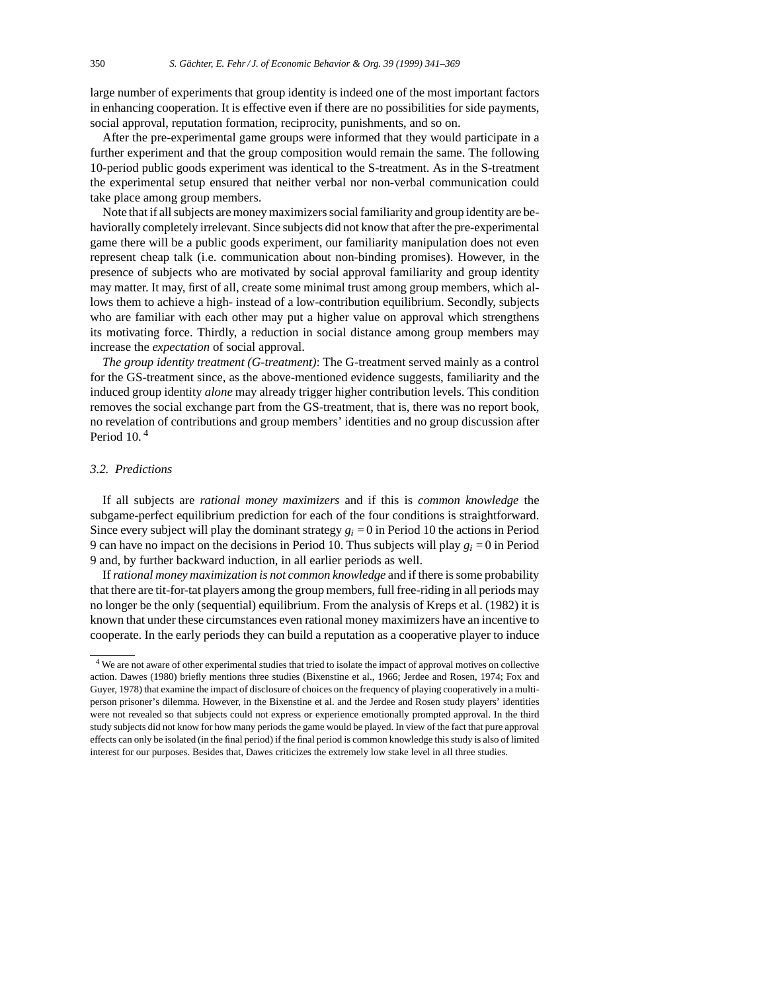large number of experiments that group identity is indeed one of the most important factors in enhancing cooperation. It is effective even if there are no possibilities for side payments, social approval, reputation formation, reciprocity, punishments, and so on.

After the pre-experimental game groups were informed that they would participate in a further experiment and that the group composition would remain the same. The following 10-period public goods experiment was identical to the S-treatment. As in the S-treatment the experimental setup ensured that neither verbal nor non-verbal communication could take place among group members.

Note that if all subjects are money maximizers social familiarity and group identity are behaviorally completely irrelevant. Since subjects did not know that after the pre-experimental game there will be a public goods experiment, our familiarity manipulation does not even represent cheap talk (i.e. communication about non-binding promises). However, in the presence of subjects who are motivated by social approval familiarity and group identity may matter. It may, first of all, create some minimal trust among group members, which allows them to achieve a high- instead of a low-contribution equilibrium. Secondly, subjects who are familiar with each other may put a higher value on approval which strengthens its motivating force. Thirdly, a reduction in social distance among group members may increase the *expectation* of social approval.

*The group identity treatment (G-treatment)*: The G-treatment served mainly as a control for the GS-treatment since, as the above-mentioned evidence suggests, familiarity and the induced group identity *alone* may already trigger higher contribution levels. This condition removes the social exchange part from the GS-treatment, that is, there was no report book, no revelation of contributions and group members' identities and no group discussion after Period 10. <sup>4</sup>

# *3.2. Predictions*

If all subjects are *rational money maximizers* and if this is *common knowledge* the subgame-perfect equilibrium prediction for each of the four conditions is straightforward. Since every subject will play the dominant strategy  $g_i = 0$  in Period 10 the actions in Period 9 can have no impact on the decisions in Period 10. Thus subjects will play  $g_i = 0$  in Period 9 and, by further backward induction, in all earlier periods as well.

If*rational money maximization is not common knowledge* and if there is some probability that there are tit-for-tat players among the group members, full free-riding in all periods may no longer be the only (sequential) equilibrium. From the analysis of Kreps et al. (1982) it is known that under these circumstances even rational money maximizers have an incentive to cooperate. In the early periods they can build a reputation as a cooperative player to induce

<sup>4</sup> We are not aware of other experimental studies that tried to isolate the impact of approval motives on collective action. Dawes (1980) briefly mentions three studies (Bixenstine et al., 1966; Jerdee and Rosen, 1974; Fox and Guyer, 1978) that examine the impact of disclosure of choices on the frequency of playing cooperatively in a multiperson prisoner's dilemma. However, in the Bixenstine et al. and the Jerdee and Rosen study players' identities were not revealed so that subjects could not express or experience emotionally prompted approval. In the third study subjects did not know for how many periods the game would be played. In view of the fact that pure approval effects can only be isolated (in the final period) if the final period is common knowledge this study is also of limited interest for our purposes. Besides that, Dawes criticizes the extremely low stake level in all three studies.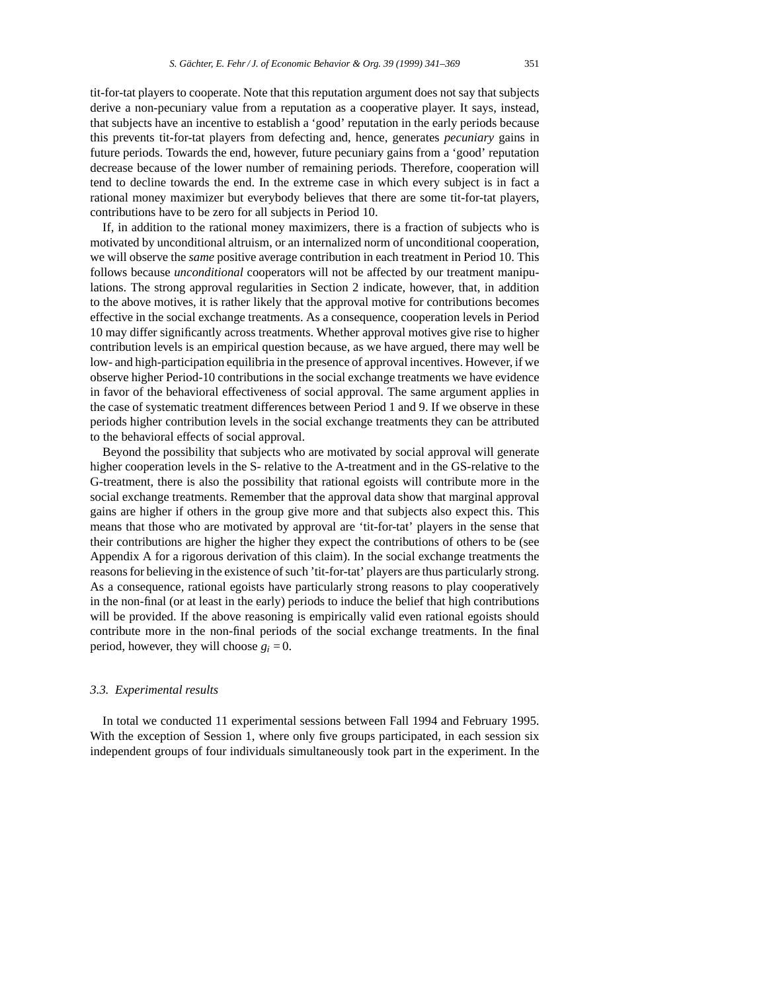tit-for-tat players to cooperate. Note that this reputation argument does not say that subjects derive a non-pecuniary value from a reputation as a cooperative player. It says, instead, that subjects have an incentive to establish a 'good' reputation in the early periods because this prevents tit-for-tat players from defecting and, hence, generates *pecuniary* gains in future periods. Towards the end, however, future pecuniary gains from a 'good' reputation decrease because of the lower number of remaining periods. Therefore, cooperation will tend to decline towards the end. In the extreme case in which every subject is in fact a rational money maximizer but everybody believes that there are some tit-for-tat players, contributions have to be zero for all subjects in Period 10.

If, in addition to the rational money maximizers, there is a fraction of subjects who is motivated by unconditional altruism, or an internalized norm of unconditional cooperation, we will observe the *same* positive average contribution in each treatment in Period 10. This follows because *unconditional* cooperators will not be affected by our treatment manipulations. The strong approval regularities in Section 2 indicate, however, that, in addition to the above motives, it is rather likely that the approval motive for contributions becomes effective in the social exchange treatments. As a consequence, cooperation levels in Period 10 may differ significantly across treatments. Whether approval motives give rise to higher contribution levels is an empirical question because, as we have argued, there may well be low- and high-participation equilibria in the presence of approval incentives. However, if we observe higher Period-10 contributions in the social exchange treatments we have evidence in favor of the behavioral effectiveness of social approval. The same argument applies in the case of systematic treatment differences between Period 1 and 9. If we observe in these periods higher contribution levels in the social exchange treatments they can be attributed to the behavioral effects of social approval.

Beyond the possibility that subjects who are motivated by social approval will generate higher cooperation levels in the S- relative to the A-treatment and in the GS-relative to the G-treatment, there is also the possibility that rational egoists will contribute more in the social exchange treatments. Remember that the approval data show that marginal approval gains are higher if others in the group give more and that subjects also expect this. This means that those who are motivated by approval are 'tit-for-tat' players in the sense that their contributions are higher the higher they expect the contributions of others to be (see Appendix A for a rigorous derivation of this claim). In the social exchange treatments the reasons for believing in the existence of such 'tit-for-tat' players are thus particularly strong. As a consequence, rational egoists have particularly strong reasons to play cooperatively in the non-final (or at least in the early) periods to induce the belief that high contributions will be provided. If the above reasoning is empirically valid even rational egoists should contribute more in the non-final periods of the social exchange treatments. In the final period, however, they will choose  $g_i = 0$ .

#### *3.3. Experimental results*

In total we conducted 11 experimental sessions between Fall 1994 and February 1995. With the exception of Session 1, where only five groups participated, in each session six independent groups of four individuals simultaneously took part in the experiment. In the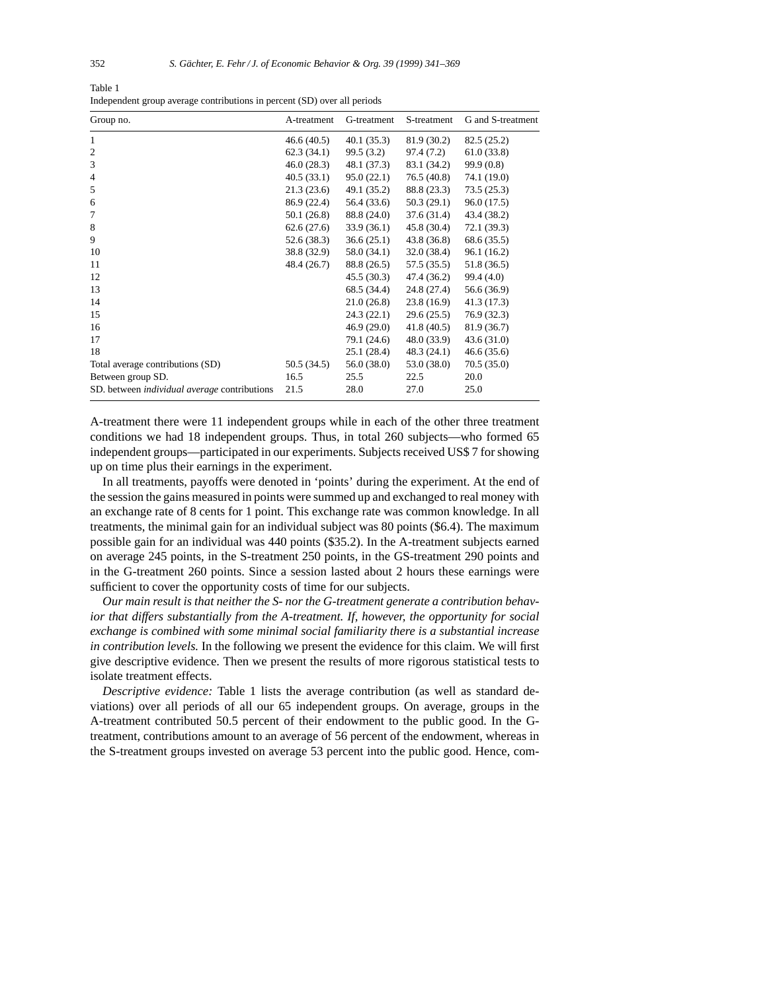| Table 1                                                                  |  |
|--------------------------------------------------------------------------|--|
| Independent group average contributions in percent (SD) over all periods |  |

| Group no.                                    | A-treatment | G-treatment | S-treatment | G and S-treatment |
|----------------------------------------------|-------------|-------------|-------------|-------------------|
| 1                                            | 46.6(40.5)  | 40.1(35.3)  | 81.9 (30.2) | 82.5 (25.2)       |
| $\overline{2}$                               | 62.3(34.1)  | 99.5 (3.2)  | 97.4 (7.2)  | 61.0(33.8)        |
| 3                                            | 46.0(28.3)  | 48.1 (37.3) | 83.1 (34.2) | 99.9(0.8)         |
| $\overline{4}$                               | 40.5(33.1)  | 95.0(22.1)  | 76.5 (40.8) | 74.1 (19.0)       |
| 5                                            | 21.3(23.6)  | 49.1 (35.2) | 88.8 (23.3) | 73.5(25.3)        |
| 6                                            | 86.9 (22.4) | 56.4 (33.6) | 50.3(29.1)  | 96.0(17.5)        |
| 7                                            | 50.1 (26.8) | 88.8 (24.0) | 37.6(31.4)  | 43.4 (38.2)       |
| 8                                            | 62.6 (27.6) | 33.9(36.1)  | 45.8 (30.4) | 72.1 (39.3)       |
| 9                                            | 52.6 (38.3) | 36.6(25.1)  | 43.8(36.8)  | 68.6 (35.5)       |
| 10                                           | 38.8 (32.9) | 58.0 (34.1) | 32.0(38.4)  | 96.1(16.2)        |
| 11                                           | 48.4 (26.7) | 88.8 (26.5) | 57.5 (35.5) | 51.8 (36.5)       |
| 12                                           |             | 45.5(30.3)  | 47.4 (36.2) | 99.4 (4.0)        |
| 13                                           |             | 68.5 (34.4) | 24.8 (27.4) | 56.6 (36.9)       |
| 14                                           |             | 21.0(26.8)  | 23.8(16.9)  | 41.3(17.3)        |
| 15                                           |             | 24.3(22.1)  | 29.6(25.5)  | 76.9 (32.3)       |
| 16                                           |             | 46.9(29.0)  | 41.8(40.5)  | 81.9 (36.7)       |
| 17                                           |             | 79.1 (24.6) | 48.0 (33.9) | 43.6(31.0)        |
| 18                                           |             | 25.1(28.4)  | 48.3(24.1)  | 46.6(35.6)        |
| Total average contributions (SD)             | 50.5 (34.5) | 56.0 (38.0) | 53.0 (38.0) | 70.5(35.0)        |
| Between group SD.                            | 16.5        | 25.5        | 22.5        | 20.0              |
| SD. between individual average contributions | 21.5        | 28.0        | 27.0        | 25.0              |

A-treatment there were 11 independent groups while in each of the other three treatment conditions we had 18 independent groups. Thus, in total 260 subjects—who formed 65 independent groups—participated in our experiments. Subjects received US\$ 7 for showing up on time plus their earnings in the experiment.

In all treatments, payoffs were denoted in 'points' during the experiment. At the end of the session the gains measured in points were summed up and exchanged to real money with an exchange rate of 8 cents for 1 point. This exchange rate was common knowledge. In all treatments, the minimal gain for an individual subject was 80 points (\$6.4). The maximum possible gain for an individual was 440 points (\$35.2). In the A-treatment subjects earned on average 245 points, in the S-treatment 250 points, in the GS-treatment 290 points and in the G-treatment 260 points. Since a session lasted about 2 hours these earnings were sufficient to cover the opportunity costs of time for our subjects.

*Our main result is that neither the S- nor the G-treatment generate a contribution behavior that differs substantially from the A-treatment. If, however, the opportunity for social exchange is combined with some minimal social familiarity there is a substantial increase in contribution levels.* In the following we present the evidence for this claim. We will first give descriptive evidence. Then we present the results of more rigorous statistical tests to isolate treatment effects.

*Descriptive evidence:* Table 1 lists the average contribution (as well as standard deviations) over all periods of all our 65 independent groups. On average, groups in the A-treatment contributed 50.5 percent of their endowment to the public good. In the Gtreatment, contributions amount to an average of 56 percent of the endowment, whereas in the S-treatment groups invested on average 53 percent into the public good. Hence, com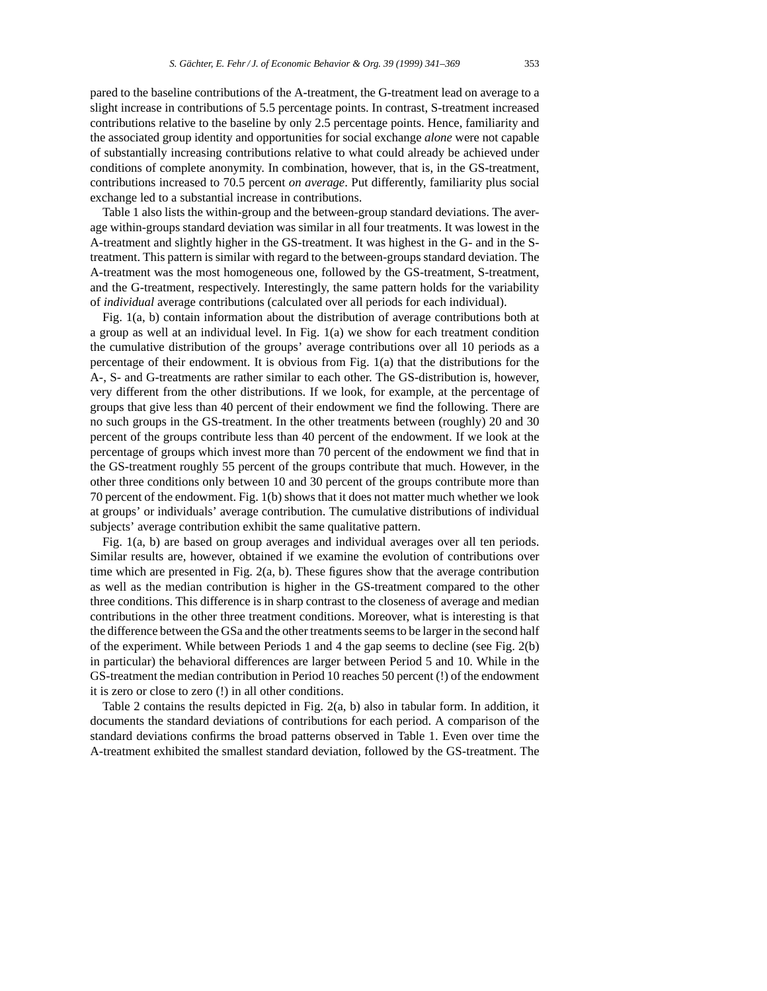pared to the baseline contributions of the A-treatment, the G-treatment lead on average to a slight increase in contributions of 5.5 percentage points. In contrast, S-treatment increased contributions relative to the baseline by only 2.5 percentage points. Hence, familiarity and the associated group identity and opportunities for social exchange *alone* were not capable of substantially increasing contributions relative to what could already be achieved under conditions of complete anonymity. In combination, however, that is, in the GS-treatment, contributions increased to 70.5 percent *on average*. Put differently, familiarity plus social exchange led to a substantial increase in contributions.

Table 1 also lists the within-group and the between-group standard deviations. The average within-groups standard deviation was similar in all four treatments. It was lowest in the A-treatment and slightly higher in the GS-treatment. It was highest in the G- and in the Streatment. This pattern is similar with regard to the between-groups standard deviation. The A-treatment was the most homogeneous one, followed by the GS-treatment, S-treatment, and the G-treatment, respectively. Interestingly, the same pattern holds for the variability of *individual* average contributions (calculated over all periods for each individual).

Fig. 1(a, b) contain information about the distribution of average contributions both at a group as well at an individual level. In Fig. 1(a) we show for each treatment condition the cumulative distribution of the groups' average contributions over all 10 periods as a percentage of their endowment. It is obvious from Fig. 1(a) that the distributions for the A-, S- and G-treatments are rather similar to each other. The GS-distribution is, however, very different from the other distributions. If we look, for example, at the percentage of groups that give less than 40 percent of their endowment we find the following. There are no such groups in the GS-treatment. In the other treatments between (roughly) 20 and 30 percent of the groups contribute less than 40 percent of the endowment. If we look at the percentage of groups which invest more than 70 percent of the endowment we find that in the GS-treatment roughly 55 percent of the groups contribute that much. However, in the other three conditions only between 10 and 30 percent of the groups contribute more than 70 percent of the endowment. Fig. 1(b) shows that it does not matter much whether we look at groups' or individuals' average contribution. The cumulative distributions of individual subjects' average contribution exhibit the same qualitative pattern.

Fig. 1(a, b) are based on group averages and individual averages over all ten periods. Similar results are, however, obtained if we examine the evolution of contributions over time which are presented in Fig.  $2(a, b)$ . These figures show that the average contribution as well as the median contribution is higher in the GS-treatment compared to the other three conditions. This difference is in sharp contrast to the closeness of average and median contributions in the other three treatment conditions. Moreover, what is interesting is that the difference between the GSa and the other treatments seems to be larger in the second half of the experiment. While between Periods 1 and 4 the gap seems to decline (see Fig. 2(b) in particular) the behavioral differences are larger between Period 5 and 10. While in the GS-treatment the median contribution in Period 10 reaches 50 percent (!) of the endowment it is zero or close to zero (!) in all other conditions.

Table 2 contains the results depicted in Fig. 2(a, b) also in tabular form. In addition, it documents the standard deviations of contributions for each period. A comparison of the standard deviations confirms the broad patterns observed in Table 1. Even over time the A-treatment exhibited the smallest standard deviation, followed by the GS-treatment. The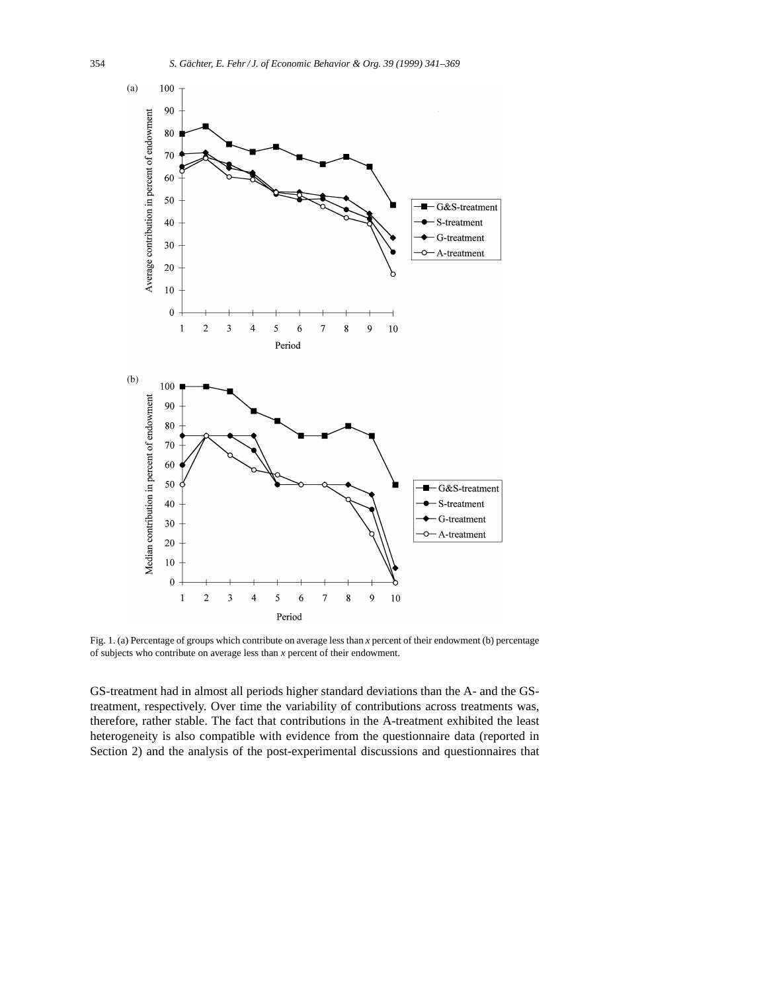

Fig. 1. (a) Percentage of groups which contribute on average less than *x* percent of their endowment (b) percentage of subjects who contribute on average less than *x* percent of their endowment.

GS-treatment had in almost all periods higher standard deviations than the A- and the GStreatment, respectively. Over time the variability of contributions across treatments was, therefore, rather stable. The fact that contributions in the A-treatment exhibited the least heterogeneity is also compatible with evidence from the questionnaire data (reported in Section 2) and the analysis of the post-experimental discussions and questionnaires that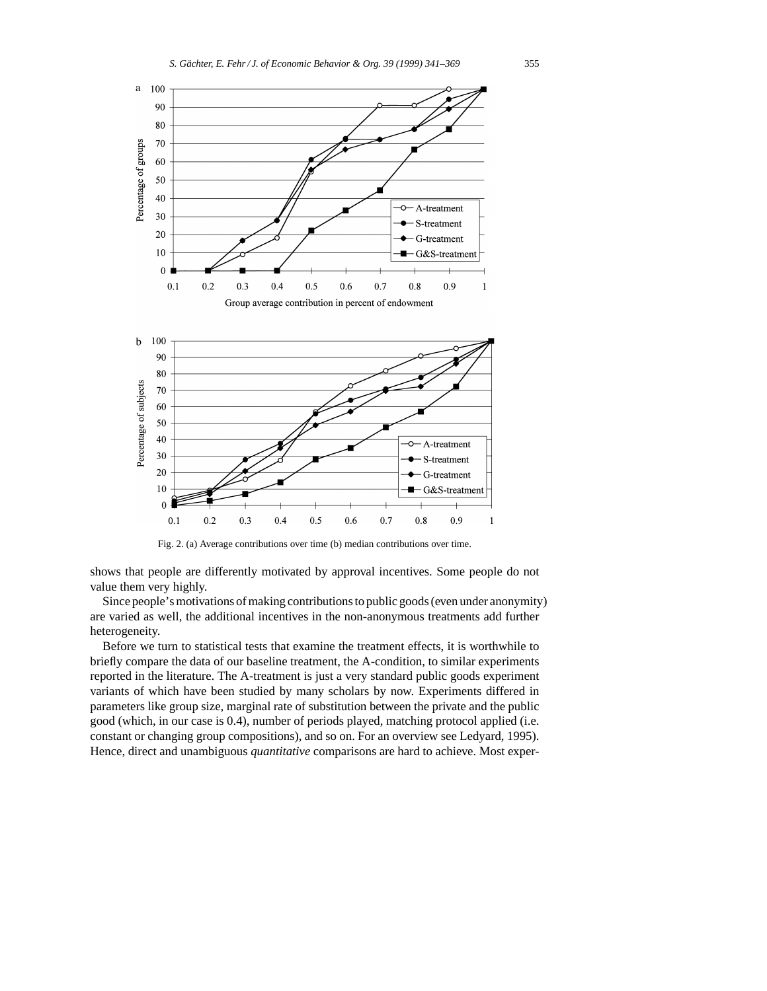

Fig. 2. (a) Average contributions over time (b) median contributions over time.

shows that people are differently motivated by approval incentives. Some people do not value them very highly.

Since people's motivations of making contributions to public goods (even under anonymity) are varied as well, the additional incentives in the non-anonymous treatments add further heterogeneity.

Before we turn to statistical tests that examine the treatment effects, it is worthwhile to briefly compare the data of our baseline treatment, the A-condition, to similar experiments reported in the literature. The A-treatment is just a very standard public goods experiment variants of which have been studied by many scholars by now. Experiments differed in parameters like group size, marginal rate of substitution between the private and the public good (which, in our case is 0.4), number of periods played, matching protocol applied (i.e. constant or changing group compositions), and so on. For an overview see Ledyard, 1995). Hence, direct and unambiguous *quantitative* comparisons are hard to achieve. Most exper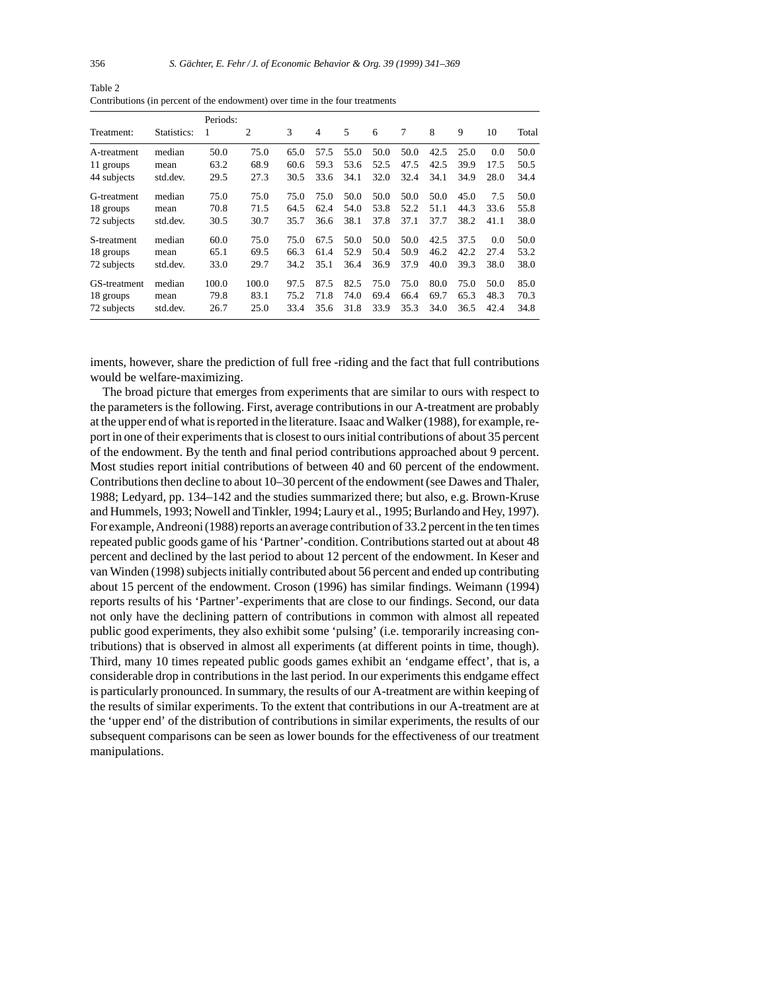Table 2

| Treatment:   | Statistics: | Periods: | $\overline{c}$ | 3    | $\overline{4}$ | 5    | 6    | 7    | 8    | 9    | 10   | Total |
|--------------|-------------|----------|----------------|------|----------------|------|------|------|------|------|------|-------|
| A-treatment  | median      | 50.0     | 75.0           | 65.0 | 57.5           | 55.0 | 50.0 | 50.0 | 42.5 | 25.0 | 0.0  | 50.0  |
| 11 groups    | mean        | 63.2     | 68.9           | 60.6 | 59.3           | 53.6 | 52.5 | 47.5 | 42.5 | 39.9 | 17.5 | 50.5  |
| 44 subjects  | std.dev.    | 29.5     | 27.3           | 30.5 | 33.6           | 34.1 | 32.0 | 32.4 | 34.1 | 34.9 | 28.0 | 34.4  |
| G-treatment  | median      | 75.0     | 75.0           | 75.0 | 75.0           | 50.0 | 50.0 | 50.0 | 50.0 | 45.0 | 7.5  | 50.0  |
| 18 groups    | mean        | 70.8     | 71.5           | 64.5 | 62.4           | 54.0 | 53.8 | 52.2 | 51.1 | 44.3 | 33.6 | 55.8  |
| 72 subjects  | std.dev.    | 30.5     | 30.7           | 35.7 | 36.6           | 38.1 | 37.8 | 37.1 | 37.7 | 38.2 | 41.1 | 38.0  |
| S-treatment  | median      | 60.0     | 75.0           | 75.0 | 67.5           | 50.0 | 50.0 | 50.0 | 42.5 | 37.5 | 0.0  | 50.0  |
| 18 groups    | mean        | 65.1     | 69.5           | 66.3 | 61.4           | 52.9 | 50.4 | 50.9 | 46.2 | 42.2 | 27.4 | 53.2  |
| 72 subjects  | std.dev.    | 33.0     | 29.7           | 34.2 | 35.1           | 36.4 | 36.9 | 37.9 | 40.0 | 39.3 | 38.0 | 38.0  |
| GS-treatment | median      | 100.0    | 100.0          | 97.5 | 87.5           | 82.5 | 75.0 | 75.0 | 80.0 | 75.0 | 50.0 | 85.0  |
| 18 groups    | mean        | 79.8     | 83.1           | 75.2 | 71.8           | 74.0 | 69.4 | 66.4 | 69.7 | 65.3 | 48.3 | 70.3  |
| 72 subjects  | std.dev.    | 26.7     | 25.0           | 33.4 | 35.6           | 31.8 | 33.9 | 35.3 | 34.0 | 36.5 | 42.4 | 34.8  |
|              |             |          |                |      |                |      |      |      |      |      |      |       |

Contributions (in percent of the endowment) over time in the four treatments

iments, however, share the prediction of full free -riding and the fact that full contributions would be welfare-maximizing.

The broad picture that emerges from experiments that are similar to ours with respect to the parameters is the following. First, average contributions in our A-treatment are probably at the upper end of what is reported in the literature. Isaac and Walker (1988), for example, report in one of their experiments that is closest to ours initial contributions of about 35 percent of the endowment. By the tenth and final period contributions approached about 9 percent. Most studies report initial contributions of between 40 and 60 percent of the endowment. Contributions then decline to about 10–30 percent of the endowment (see Dawes and Thaler, 1988; Ledyard, pp. 134–142 and the studies summarized there; but also, e.g. Brown-Kruse and Hummels, 1993; Nowell and Tinkler, 1994; Laury et al., 1995; Burlando and Hey, 1997). For example, Andreoni (1988) reports an average contribution of 33.2 percent in the ten times repeated public goods game of his 'Partner'-condition. Contributions started out at about 48 percent and declined by the last period to about 12 percent of the endowment. In Keser and van Winden (1998) subjects initially contributed about 56 percent and ended up contributing about 15 percent of the endowment. Croson (1996) has similar findings. Weimann (1994) reports results of his 'Partner'-experiments that are close to our findings. Second, our data not only have the declining pattern of contributions in common with almost all repeated public good experiments, they also exhibit some 'pulsing' (i.e. temporarily increasing contributions) that is observed in almost all experiments (at different points in time, though). Third, many 10 times repeated public goods games exhibit an 'endgame effect', that is, a considerable drop in contributions in the last period. In our experiments this endgame effect is particularly pronounced. In summary, the results of our A-treatment are within keeping of the results of similar experiments. To the extent that contributions in our A-treatment are at the 'upper end' of the distribution of contributions in similar experiments, the results of our subsequent comparisons can be seen as lower bounds for the effectiveness of our treatment manipulations.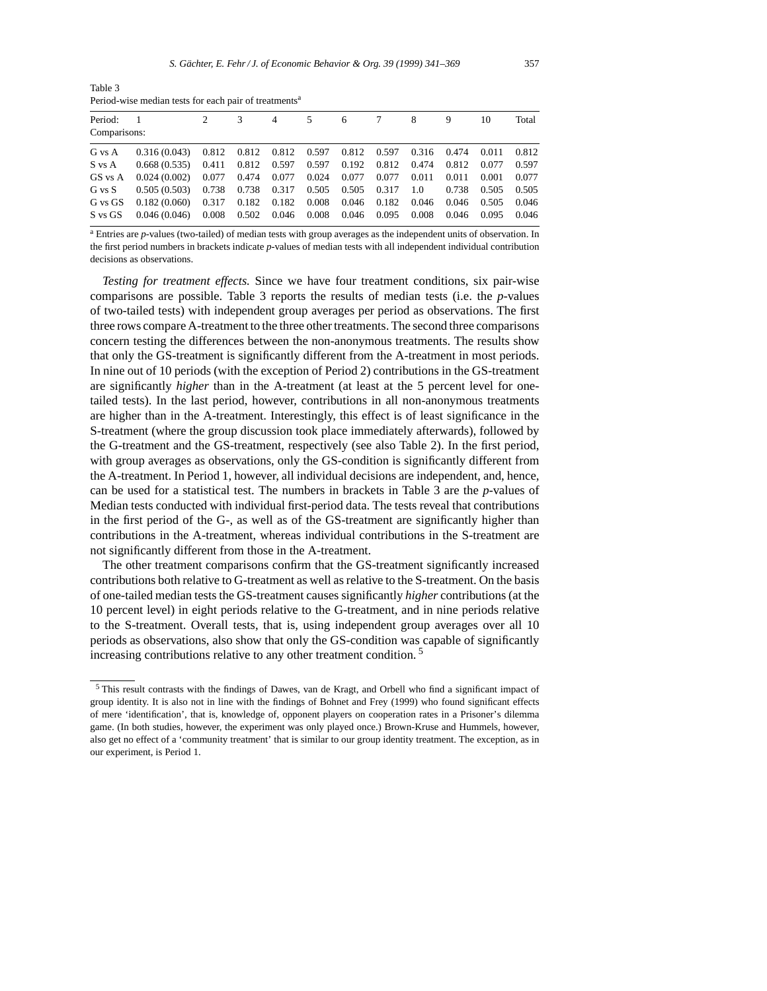| Table 3                                                           |
|-------------------------------------------------------------------|
| Period-wise median tests for each pair of treatments <sup>a</sup> |

| Period:      |                                                                | 2     | 3                                               | $\overline{4}$ | 5 | 6           | 7     | 8           | 9     | 10    | Total |
|--------------|----------------------------------------------------------------|-------|-------------------------------------------------|----------------|---|-------------|-------|-------------|-------|-------|-------|
| Comparisons: |                                                                |       |                                                 |                |   |             |       |             |       |       |       |
| G vs A       | $0.316(0.043)$ $0.812$ $0.812$ $0.812$ $0.597$ $0.812$ $0.597$ |       |                                                 |                |   |             |       | 0.316 0.474 |       | 0.011 | 0.812 |
| S vs A       | 0.668(0.535)                                                   |       | $0.411$ $0.812$ $0.597$ $0.597$ $0.192$ $0.812$ |                |   |             |       | 0.474       | 0.812 | 0.077 | 0.597 |
| GS vs A      | 0.024(0.002)                                                   | 0.077 | 0.474 0.077                                     |                |   | 0.024 0.077 | 0.077 | 0.011       | 0.011 | 0.001 | 0.077 |
| G vs S       | 0.505(0.503)                                                   |       | 0.738 0.738 0.317 0.505 0.505 0.317 1.0         |                |   |             |       |             | 0.738 | 0.505 | 0.505 |
| G vs GS      | 0.182(0.060)                                                   | 0.317 | 0.182                                           | $0.182$ 0.008  |   | 0.046       | 0.182 | 0.046       | 0.046 | 0.505 | 0.046 |
| S vs GS      | 0.046(0.046)                                                   | 0.008 | 0.502                                           | $0.046$ 0.008  |   | 0.046       | 0.095 | 0.008       | 0.046 | 0.095 | 0.046 |

<sup>a</sup> Entries are *p*-values (two-tailed) of median tests with group averages as the independent units of observation. In the first period numbers in brackets indicate *p*-values of median tests with all independent individual contribution decisions as observations.

*Testing for treatment effects.* Since we have four treatment conditions, six pair-wise comparisons are possible. Table 3 reports the results of median tests (i.e. the *p*-values of two-tailed tests) with independent group averages per period as observations. The first three rows compare A-treatment to the three other treatments. The second three comparisons concern testing the differences between the non-anonymous treatments. The results show that only the GS-treatment is significantly different from the A-treatment in most periods. In nine out of 10 periods (with the exception of Period 2) contributions in the GS-treatment are significantly *higher* than in the A-treatment (at least at the 5 percent level for onetailed tests). In the last period, however, contributions in all non-anonymous treatments are higher than in the A-treatment. Interestingly, this effect is of least significance in the S-treatment (where the group discussion took place immediately afterwards), followed by the G-treatment and the GS-treatment, respectively (see also Table 2). In the first period, with group averages as observations, only the GS-condition is significantly different from the A-treatment. In Period 1, however, all individual decisions are independent, and, hence, can be used for a statistical test. The numbers in brackets in Table 3 are the *p*-values of Median tests conducted with individual first-period data. The tests reveal that contributions in the first period of the G-, as well as of the GS-treatment are significantly higher than contributions in the A-treatment, whereas individual contributions in the S-treatment are not significantly different from those in the A-treatment.

The other treatment comparisons confirm that the GS-treatment significantly increased contributions both relative to G-treatment as well as relative to the S-treatment. On the basis of one-tailed median tests the GS-treatment causes significantly *higher* contributions (at the 10 percent level) in eight periods relative to the G-treatment, and in nine periods relative to the S-treatment. Overall tests, that is, using independent group averages over all 10 periods as observations, also show that only the GS-condition was capable of significantly increasing contributions relative to any other treatment condition.<sup>5</sup>

<sup>5</sup> This result contrasts with the findings of Dawes, van de Kragt, and Orbell who find a significant impact of group identity. It is also not in line with the findings of Bohnet and Frey (1999) who found significant effects of mere 'identification', that is, knowledge of, opponent players on cooperation rates in a Prisoner's dilemma game. (In both studies, however, the experiment was only played once.) Brown-Kruse and Hummels, however, also get no effect of a 'community treatment' that is similar to our group identity treatment. The exception, as in our experiment, is Period 1.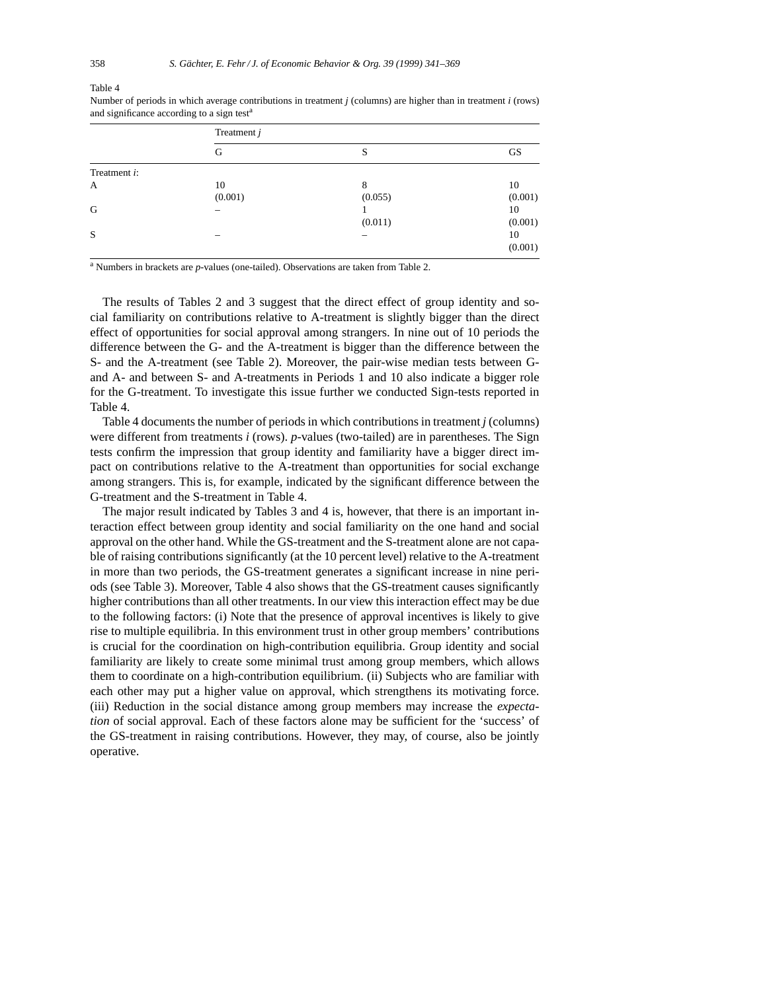Table 4

|                      | Treatment j |         |           |  |  |  |  |
|----------------------|-------------|---------|-----------|--|--|--|--|
|                      | G           | S       | <b>GS</b> |  |  |  |  |
| Treatment <i>i</i> : |             |         |           |  |  |  |  |
| A                    | 10          | 8       | 10        |  |  |  |  |
|                      | (0.001)     | (0.055) | (0.001)   |  |  |  |  |
| G                    |             |         | 10        |  |  |  |  |
|                      |             | (0.011) | (0.001)   |  |  |  |  |
| S                    |             |         | 10        |  |  |  |  |
|                      |             |         | (0.001)   |  |  |  |  |

Number of periods in which average contributions in treatment *j* (columns) are higher than in treatment *i* (rows) and significance according to a sign test<sup>a</sup>

<sup>a</sup> Numbers in brackets are *p*-values (one-tailed). Observations are taken from Table 2.

The results of Tables 2 and 3 suggest that the direct effect of group identity and social familiarity on contributions relative to A-treatment is slightly bigger than the direct effect of opportunities for social approval among strangers. In nine out of 10 periods the difference between the G- and the A-treatment is bigger than the difference between the S- and the A-treatment (see Table 2). Moreover, the pair-wise median tests between Gand A- and between S- and A-treatments in Periods 1 and 10 also indicate a bigger role for the G-treatment. To investigate this issue further we conducted Sign-tests reported in Table 4.

Table 4 documents the number of periods in which contributions in treatment *j* (columns) were different from treatments *i* (rows). *p*-values (two-tailed) are in parentheses. The Sign tests confirm the impression that group identity and familiarity have a bigger direct impact on contributions relative to the A-treatment than opportunities for social exchange among strangers. This is, for example, indicated by the significant difference between the G-treatment and the S-treatment in Table 4.

The major result indicated by Tables 3 and 4 is, however, that there is an important interaction effect between group identity and social familiarity on the one hand and social approval on the other hand. While the GS-treatment and the S-treatment alone are not capable of raising contributions significantly (at the 10 percent level) relative to the A-treatment in more than two periods, the GS-treatment generates a significant increase in nine periods (see Table 3). Moreover, Table 4 also shows that the GS-treatment causes significantly higher contributions than all other treatments. In our view this interaction effect may be due to the following factors: (i) Note that the presence of approval incentives is likely to give rise to multiple equilibria. In this environment trust in other group members' contributions is crucial for the coordination on high-contribution equilibria. Group identity and social familiarity are likely to create some minimal trust among group members, which allows them to coordinate on a high-contribution equilibrium. (ii) Subjects who are familiar with each other may put a higher value on approval, which strengthens its motivating force. (iii) Reduction in the social distance among group members may increase the *expectation* of social approval. Each of these factors alone may be sufficient for the 'success' of the GS-treatment in raising contributions. However, they may, of course, also be jointly operative.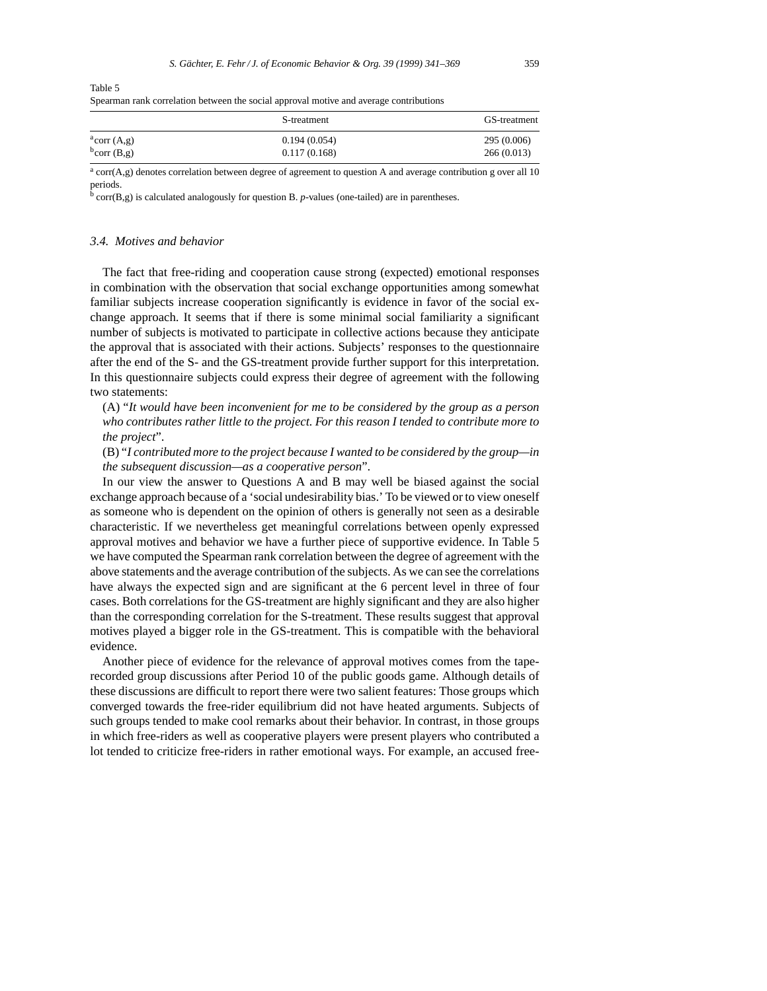| Table 5                                                                                |
|----------------------------------------------------------------------------------------|
| Spearman rank correlation between the social approval motive and average contributions |

|                     | S-treatment  | GS-treatment |
|---------------------|--------------|--------------|
| $^{a}$ corr $(A,g)$ | 0.194(0.054) | 295 (0.006)  |
| $^{b}$ corr (B,g)   | 0.117(0.168) | 266(0.013)   |

<sup>a</sup> corr(A,g) denotes correlation between degree of agreement to question A and average contribution g over all 10 periods.

 $<sup>b</sup> corr(B,g)$  is calculated analogously for question B. *p*-values (one-tailed) are in parentheses.</sup>

#### *3.4. Motives and behavior*

The fact that free-riding and cooperation cause strong (expected) emotional responses in combination with the observation that social exchange opportunities among somewhat familiar subjects increase cooperation significantly is evidence in favor of the social exchange approach. It seems that if there is some minimal social familiarity a significant number of subjects is motivated to participate in collective actions because they anticipate the approval that is associated with their actions. Subjects' responses to the questionnaire after the end of the S- and the GS-treatment provide further support for this interpretation. In this questionnaire subjects could express their degree of agreement with the following two statements:

(A) "*It would have been inconvenient for me to be considered by the group as a person who contributes rather little to the project. For this reason I tended to contribute more to the project*".

(B) "*I contributed more to the project because I wanted to be considered by the group—in the subsequent discussion—as a cooperative person*".

In our view the answer to Questions A and B may well be biased against the social exchange approach because of a 'social undesirability bias.' To be viewed or to view oneself as someone who is dependent on the opinion of others is generally not seen as a desirable characteristic. If we nevertheless get meaningful correlations between openly expressed approval motives and behavior we have a further piece of supportive evidence. In Table 5 we have computed the Spearman rank correlation between the degree of agreement with the above statements and the average contribution of the subjects. As we can see the correlations have always the expected sign and are significant at the 6 percent level in three of four cases. Both correlations for the GS-treatment are highly significant and they are also higher than the corresponding correlation for the S-treatment. These results suggest that approval motives played a bigger role in the GS-treatment. This is compatible with the behavioral evidence.

Another piece of evidence for the relevance of approval motives comes from the taperecorded group discussions after Period 10 of the public goods game. Although details of these discussions are difficult to report there were two salient features: Those groups which converged towards the free-rider equilibrium did not have heated arguments. Subjects of such groups tended to make cool remarks about their behavior. In contrast, in those groups in which free-riders as well as cooperative players were present players who contributed a lot tended to criticize free-riders in rather emotional ways. For example, an accused free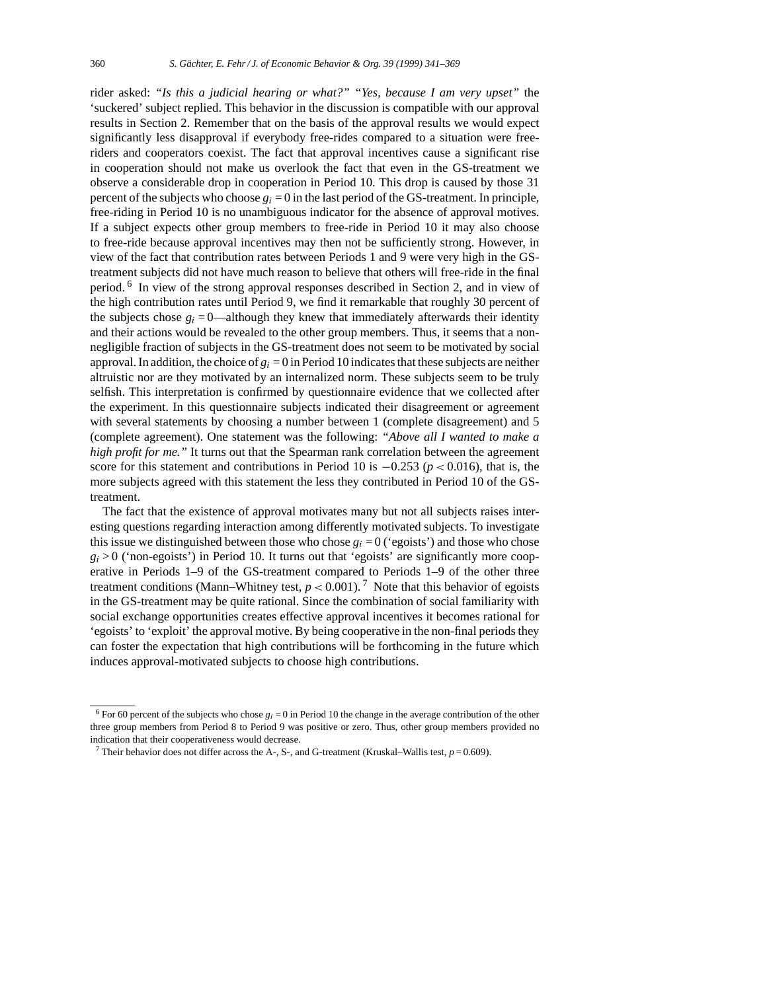rider asked: *"Is this a judicial hearing or what?" "Yes, because I am very upset"* the 'suckered' subject replied. This behavior in the discussion is compatible with our approval results in Section 2. Remember that on the basis of the approval results we would expect significantly less disapproval if everybody free-rides compared to a situation were freeriders and cooperators coexist. The fact that approval incentives cause a significant rise in cooperation should not make us overlook the fact that even in the GS-treatment we observe a considerable drop in cooperation in Period 10. This drop is caused by those 31 percent of the subjects who choose  $g_i = 0$  in the last period of the GS-treatment. In principle, free-riding in Period 10 is no unambiguous indicator for the absence of approval motives. If a subject expects other group members to free-ride in Period 10 it may also choose to free-ride because approval incentives may then not be sufficiently strong. However, in view of the fact that contribution rates between Periods 1 and 9 were very high in the GStreatment subjects did not have much reason to believe that others will free-ride in the final period. <sup>6</sup> In view of the strong approval responses described in Section 2, and in view of the high contribution rates until Period 9, we find it remarkable that roughly 30 percent of the subjects chose  $g_i = 0$ —although they knew that immediately afterwards their identity and their actions would be revealed to the other group members. Thus, it seems that a nonnegligible fraction of subjects in the GS-treatment does not seem to be motivated by social approval. In addition, the choice of  $g_i = 0$  in Period 10 indicates that these subjects are neither altruistic nor are they motivated by an internalized norm. These subjects seem to be truly selfish. This interpretation is confirmed by questionnaire evidence that we collected after the experiment. In this questionnaire subjects indicated their disagreement or agreement with several statements by choosing a number between 1 (complete disagreement) and 5 (complete agreement). One statement was the following: *"Above all I wanted to make a high profit for me.*" It turns out that the Spearman rank correlation between the agreement score for this statement and contributions in Period 10 is  $-0.253$  ( $p < 0.016$ ), that is, the more subjects agreed with this statement the less they contributed in Period 10 of the GStreatment.

The fact that the existence of approval motivates many but not all subjects raises interesting questions regarding interaction among differently motivated subjects. To investigate this issue we distinguished between those who chose  $g_i = 0$  ('egoists') and those who chose  $g_i > 0$  ('non-egoists') in Period 10. It turns out that 'egoists' are significantly more cooperative in Periods 1–9 of the GS-treatment compared to Periods 1–9 of the other three treatment conditions (Mann–Whitney test,  $p < 0.001$ ).<sup>7</sup> Note that this behavior of egoists in the GS-treatment may be quite rational. Since the combination of social familiarity with social exchange opportunities creates effective approval incentives it becomes rational for 'egoists' to 'exploit' the approval motive. By being cooperative in the non-final periods they can foster the expectation that high contributions will be forthcoming in the future which induces approval-motivated subjects to choose high contributions.

<sup>&</sup>lt;sup>6</sup> For 60 percent of the subjects who chose  $g_i = 0$  in Period 10 the change in the average contribution of the other three group members from Period 8 to Period 9 was positive or zero. Thus, other group members provided no indication that their cooperativeness would decrease.

<sup>&</sup>lt;sup>7</sup> Their behavior does not differ across the A-, S-, and G-treatment (Kruskal–Wallis test,  $p = 0.609$ ).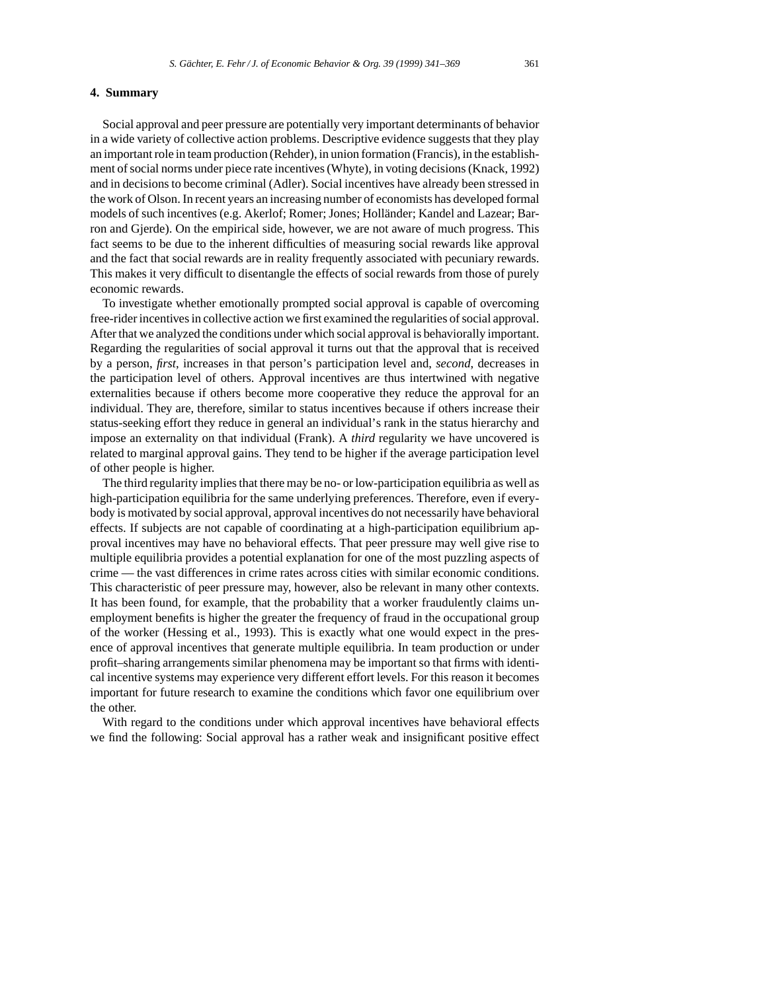### **4. Summary**

Social approval and peer pressure are potentially very important determinants of behavior in a wide variety of collective action problems. Descriptive evidence suggests that they play an important role in team production (Rehder), in union formation (Francis), in the establishment of social norms under piece rate incentives (Whyte), in voting decisions (Knack, 1992) and in decisions to become criminal (Adler). Social incentives have already been stressed in the work of Olson. In recent years an increasing number of economists has developed formal models of such incentives (e.g. Akerlof; Romer; Jones; Holländer; Kandel and Lazear; Barron and Gjerde). On the empirical side, however, we are not aware of much progress. This fact seems to be due to the inherent difficulties of measuring social rewards like approval and the fact that social rewards are in reality frequently associated with pecuniary rewards. This makes it very difficult to disentangle the effects of social rewards from those of purely economic rewards.

To investigate whether emotionally prompted social approval is capable of overcoming free-rider incentives in collective action we first examined the regularities of social approval. After that we analyzed the conditions under which social approval is behaviorally important. Regarding the regularities of social approval it turns out that the approval that is received by a person, *first*, increases in that person's participation level and, *second*, decreases in the participation level of others. Approval incentives are thus intertwined with negative externalities because if others become more cooperative they reduce the approval for an individual. They are, therefore, similar to status incentives because if others increase their status-seeking effort they reduce in general an individual's rank in the status hierarchy and impose an externality on that individual (Frank). A *third* regularity we have uncovered is related to marginal approval gains. They tend to be higher if the average participation level of other people is higher.

The third regularity implies that there may be no- or low-participation equilibria as well as high-participation equilibria for the same underlying preferences. Therefore, even if everybody is motivated by social approval, approval incentives do not necessarily have behavioral effects. If subjects are not capable of coordinating at a high-participation equilibrium approval incentives may have no behavioral effects. That peer pressure may well give rise to multiple equilibria provides a potential explanation for one of the most puzzling aspects of crime — the vast differences in crime rates across cities with similar economic conditions. This characteristic of peer pressure may, however, also be relevant in many other contexts. It has been found, for example, that the probability that a worker fraudulently claims unemployment benefits is higher the greater the frequency of fraud in the occupational group of the worker (Hessing et al., 1993). This is exactly what one would expect in the presence of approval incentives that generate multiple equilibria. In team production or under profit–sharing arrangements similar phenomena may be important so that firms with identical incentive systems may experience very different effort levels. For this reason it becomes important for future research to examine the conditions which favor one equilibrium over the other.

With regard to the conditions under which approval incentives have behavioral effects we find the following: Social approval has a rather weak and insignificant positive effect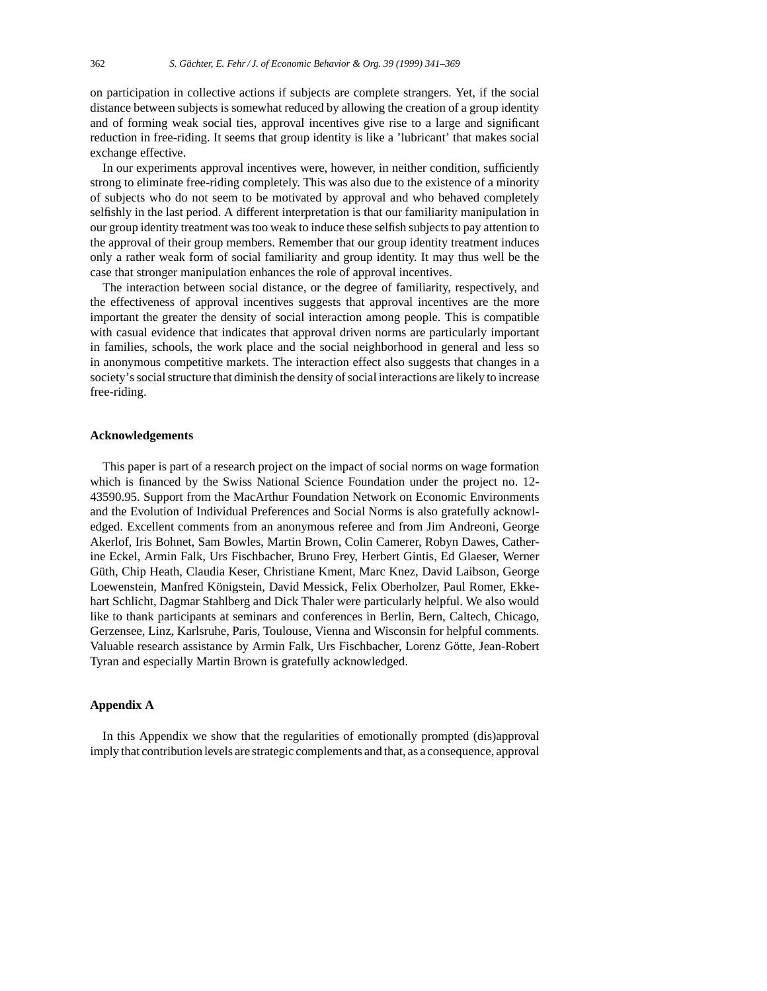on participation in collective actions if subjects are complete strangers. Yet, if the social distance between subjects is somewhat reduced by allowing the creation of a group identity and of forming weak social ties, approval incentives give rise to a large and significant reduction in free-riding. It seems that group identity is like a 'lubricant' that makes social exchange effective.

In our experiments approval incentives were, however, in neither condition, sufficiently strong to eliminate free-riding completely. This was also due to the existence of a minority of subjects who do not seem to be motivated by approval and who behaved completely selfishly in the last period. A different interpretation is that our familiarity manipulation in our group identity treatment was too weak to induce these selfish subjects to pay attention to the approval of their group members. Remember that our group identity treatment induces only a rather weak form of social familiarity and group identity. It may thus well be the case that stronger manipulation enhances the role of approval incentives.

The interaction between social distance, or the degree of familiarity, respectively, and the effectiveness of approval incentives suggests that approval incentives are the more important the greater the density of social interaction among people. This is compatible with casual evidence that indicates that approval driven norms are particularly important in families, schools, the work place and the social neighborhood in general and less so in anonymous competitive markets. The interaction effect also suggests that changes in a society's social structure that diminish the density of social interactions are likely to increase free-riding.

#### **Acknowledgements**

This paper is part of a research project on the impact of social norms on wage formation which is financed by the Swiss National Science Foundation under the project no. 12- 43590.95. Support from the MacArthur Foundation Network on Economic Environments and the Evolution of Individual Preferences and Social Norms is also gratefully acknowledged. Excellent comments from an anonymous referee and from Jim Andreoni, George Akerlof, Iris Bohnet, Sam Bowles, Martin Brown, Colin Camerer, Robyn Dawes, Catherine Eckel, Armin Falk, Urs Fischbacher, Bruno Frey, Herbert Gintis, Ed Glaeser, Werner Güth, Chip Heath, Claudia Keser, Christiane Kment, Marc Knez, David Laibson, George Loewenstein, Manfred Königstein, David Messick, Felix Oberholzer, Paul Romer, Ekkehart Schlicht, Dagmar Stahlberg and Dick Thaler were particularly helpful. We also would like to thank participants at seminars and conferences in Berlin, Bern, Caltech, Chicago, Gerzensee, Linz, Karlsruhe, Paris, Toulouse, Vienna and Wisconsin for helpful comments. Valuable research assistance by Armin Falk, Urs Fischbacher, Lorenz Götte, Jean-Robert Tyran and especially Martin Brown is gratefully acknowledged.

# **Appendix A**

In this Appendix we show that the regularities of emotionally prompted (dis)approval imply that contribution levels are strategic complements and that, as a consequence, approval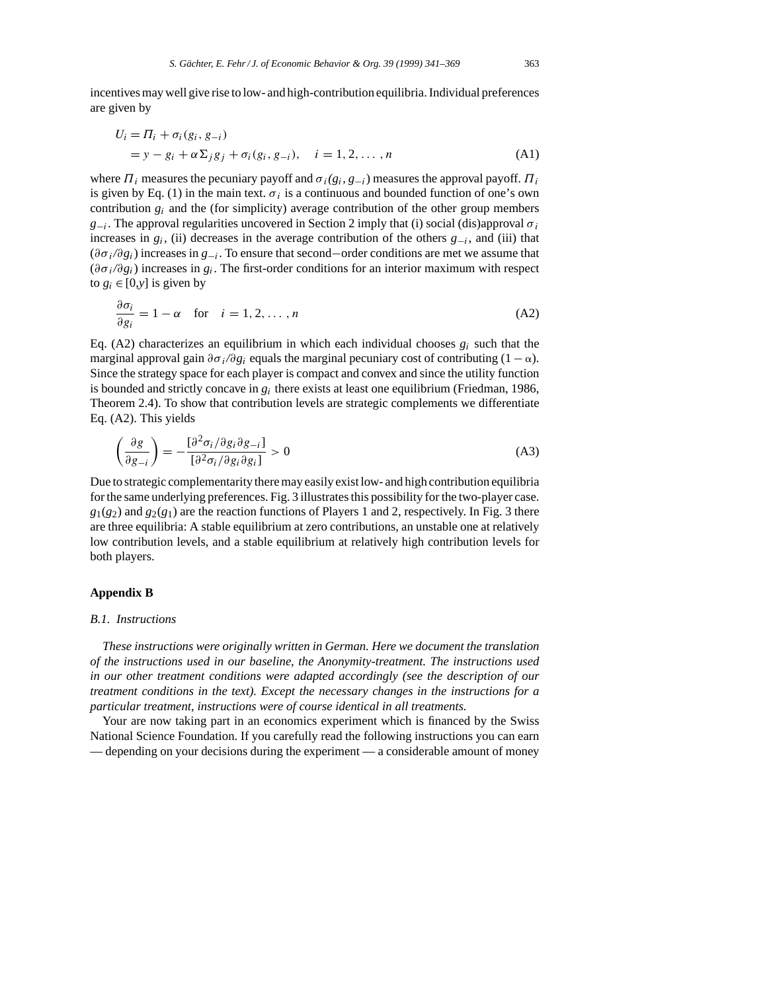incentives may well give rise to low- and high-contribution equilibria. Individual preferences

$$
U_i = \Pi_i + \sigma_i(g_i, g_{-i})
$$
  
=  $y - g_i + \alpha \Sigma_j g_j + \sigma_i(g_i, g_{-i}), \quad i = 1, 2, ..., n$  (A1)

where  $\Pi_i$  measures the pecuniary payoff and  $\sigma_i(g_i, g_{-i})$  measures the approval payoff.  $\Pi_i$ is given by Eq. (1) in the main text.  $\sigma_i$  is a continuous and bounded function of one's own contribution  $g_i$  and the (for simplicity) average contribution of the other group members  $g_{-i}$ . The approval regularities uncovered in Section 2 imply that (i) social (dis)approval  $\sigma_i$ increases in *g*i, (ii) decreases in the average contribution of the others *g*−i, and (iii) that (∂σi*/*∂*g*i) increases in *g*−i. To ensure that second−order conditions are met we assume that  $(\partial \sigma_i/\partial g_i)$  increases in  $g_i$ . The first-order conditions for an interior maximum with respect to  $g_i \in [0, y]$  is given by

$$
\frac{\partial \sigma_i}{\partial g_i} = 1 - \alpha \quad \text{for} \quad i = 1, 2, \dots, n \tag{A2}
$$

Eq. (A2) characterizes an equilibrium in which each individual chooses  $g_i$  such that the marginal approval gain  $\partial \sigma_i / \partial g_i$  equals the marginal pecuniary cost of contributing  $(1 - \alpha)$ . Since the strategy space for each player is compact and convex and since the utility function is bounded and strictly concave in  $g_i$  there exists at least one equilibrium (Friedman, 1986, Theorem 2.4). To show that contribution levels are strategic complements we differentiate Eq. (A2). This yields

$$
\left(\frac{\partial g}{\partial g_{-i}}\right) = -\frac{\left[\partial^2 \sigma_i / \partial g_i \partial g_{-i}\right]}{\left[\partial^2 \sigma_i / \partial g_i \partial g_i\right]} > 0\tag{A3}
$$

Due to strategic complementarity there may easily exist low- and high contribution equilibria for the same underlying preferences. Fig. 3 illustrates this possibility for the two-player case.  $g_1(g_2)$  and  $g_2(g_1)$  are the reaction functions of Players 1 and 2, respectively. In Fig. 3 there are three equilibria: A stable equilibrium at zero contributions, an unstable one at relatively low contribution levels, and a stable equilibrium at relatively high contribution levels for both players.

#### **Appendix B**

are given by

#### *B.1. Instructions*

*These instructions were originally written in German. Here we document the translation of the instructions used in our baseline, the Anonymity-treatment. The instructions used in our other treatment conditions were adapted accordingly (see the description of our treatment conditions in the text). Except the necessary changes in the instructions for a particular treatment, instructions were of course identical in all treatments.*

Your are now taking part in an economics experiment which is financed by the Swiss National Science Foundation. If you carefully read the following instructions you can earn — depending on your decisions during the experiment — a considerable amount of money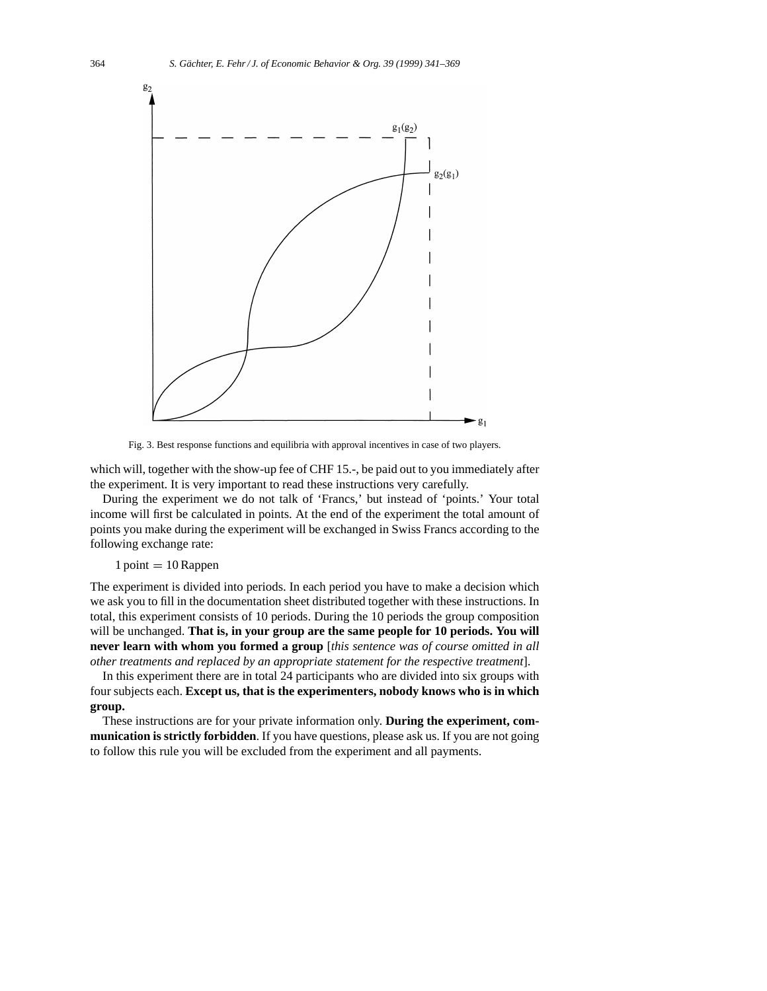

Fig. 3. Best response functions and equilibria with approval incentives in case of two players.

which will, together with the show-up fee of CHF 15.-, be paid out to you immediately after the experiment. It is very important to read these instructions very carefully.

During the experiment we do not talk of 'Francs,' but instead of 'points.' Your total income will first be calculated in points. At the end of the experiment the total amount of points you make during the experiment will be exchanged in Swiss Francs according to the following exchange rate:

# $1$  point =  $10$  Rappen

The experiment is divided into periods. In each period you have to make a decision which we ask you to fill in the documentation sheet distributed together with these instructions. In total, this experiment consists of 10 periods. During the 10 periods the group composition will be unchanged. **That is, in your group are the same people for 10 periods. You will never learn with whom you formed a group** [*this sentence was of course omitted in all other treatments and replaced by an appropriate statement for the respective treatment*].

In this experiment there are in total 24 participants who are divided into six groups with four subjects each. **Except us, that is the experimenters, nobody knows who is in which group.**

These instructions are for your private information only. **During the experiment, communication is strictly forbidden**. If you have questions, please ask us. If you are not going to follow this rule you will be excluded from the experiment and all payments.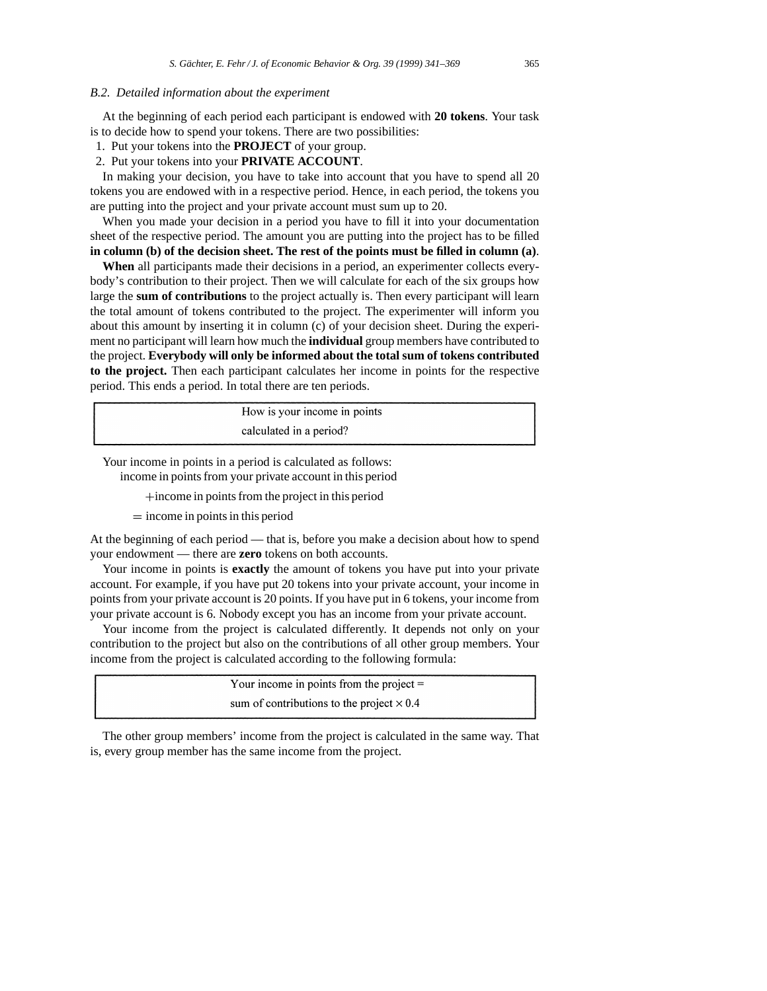#### *B.2. Detailed information about the experiment*

At the beginning of each period each participant is endowed with **20 tokens**. Your task is to decide how to spend your tokens. There are two possibilities:

- 1. Put your tokens into the **PROJECT** of your group.
- 2. Put your tokens into your **PRIVATE ACCOUNT**.

In making your decision, you have to take into account that you have to spend all 20 tokens you are endowed with in a respective period. Hence, in each period, the tokens you are putting into the project and your private account must sum up to 20.

When you made your decision in a period you have to fill it into your documentation sheet of the respective period. The amount you are putting into the project has to be filled **in column (b) of the decision sheet. The rest of the points must be filled in column (a)**.

**When** all participants made their decisions in a period, an experimenter collects everybody's contribution to their project. Then we will calculate for each of the six groups how large the **sum of contributions** to the project actually is. Then every participant will learn the total amount of tokens contributed to the project. The experimenter will inform you about this amount by inserting it in column (c) of your decision sheet. During the experiment no participant will learn how much the **individual** group members have contributed to the project. **Everybody will only be informed about the total sum of tokens contributed to the project.** Then each participant calculates her income in points for the respective period. This ends a period. In total there are ten periods.

How is your income in points

calculated in a period?

Your income in points in a period is calculated as follows: income in points from your private account in this period

- +income in points from the project in this period
- $=$  income in points in this period

At the beginning of each period — that is, before you make a decision about how to spend your endowment — there are **zero** tokens on both accounts.

Your income in points is **exactly** the amount of tokens you have put into your private account. For example, if you have put 20 tokens into your private account, your income in points from your private account is 20 points. If you have put in 6 tokens, your income from your private account is 6. Nobody except you has an income from your private account.

Your income from the project is calculated differently. It depends not only on your contribution to the project but also on the contributions of all other group members. Your income from the project is calculated according to the following formula:

| Your income in points from the project $=$       |  |
|--------------------------------------------------|--|
| sum of contributions to the project $\times$ 0.4 |  |

The other group members' income from the project is calculated in the same way. That is, every group member has the same income from the project.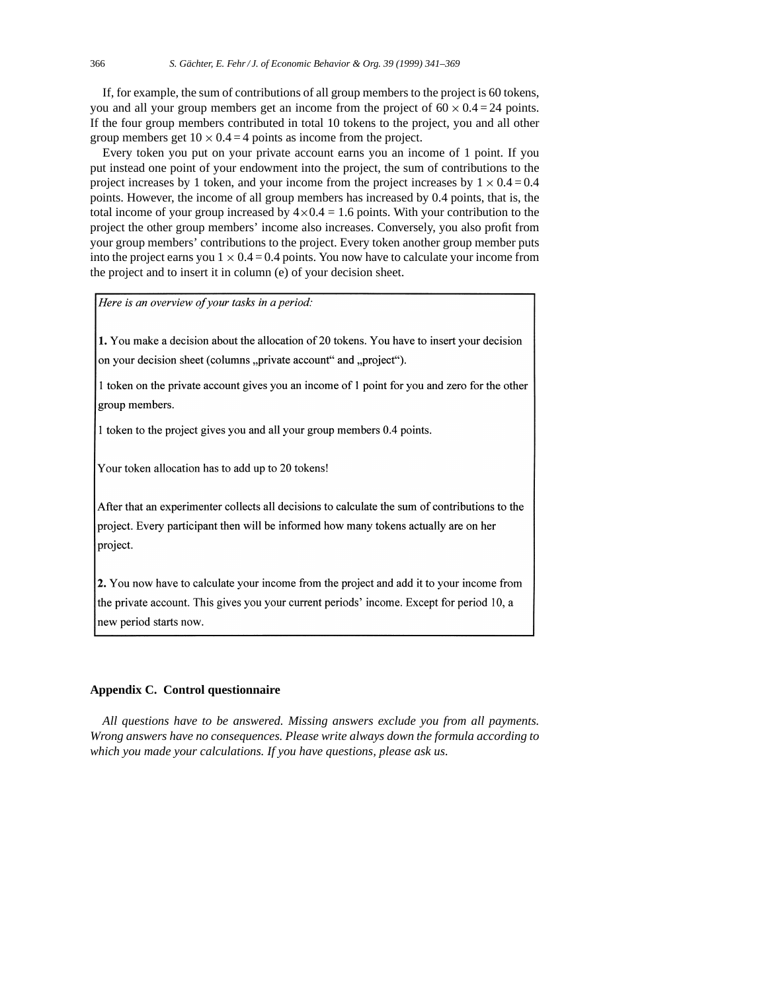If, for example, the sum of contributions of all group members to the project is 60 tokens, you and all your group members get an income from the project of  $60 \times 0.4 = 24$  points. If the four group members contributed in total 10 tokens to the project, you and all other group members get  $10 \times 0.4 = 4$  points as income from the project.

Every token you put on your private account earns you an income of 1 point. If you put instead one point of your endowment into the project, the sum of contributions to the project increases by 1 token, and your income from the project increases by  $1 \times 0.4 = 0.4$ points. However, the income of all group members has increased by 0.4 points, that is, the total income of your group increased by  $4 \times 0.4 = 1.6$  points. With your contribution to the project the other group members' income also increases. Conversely, you also profit from your group members' contributions to the project. Every token another group member puts into the project earns you  $1 \times 0.4 = 0.4$  points. You now have to calculate your income from the project and to insert it in column (e) of your decision sheet.

Here is an overview of your tasks in a period:

1. You make a decision about the allocation of 20 tokens. You have to insert your decision on your decision sheet (columns "private account" and "project").

1 token on the private account gives you an income of 1 point for you and zero for the other group members.

1 token to the project gives you and all your group members 0.4 points.

Your token allocation has to add up to 20 tokens!

After that an experimenter collects all decisions to calculate the sum of contributions to the project. Every participant then will be informed how many tokens actually are on her project.

2. You now have to calculate your income from the project and add it to your income from the private account. This gives you your current periods' income. Except for period 10, a new period starts now.

#### **Appendix C. Control questionnaire**

*All questions have to be answered. Missing answers exclude you from all payments. Wrong answers have no consequences. Please write always down the formula according to which you made your calculations. If you have questions, please ask us.*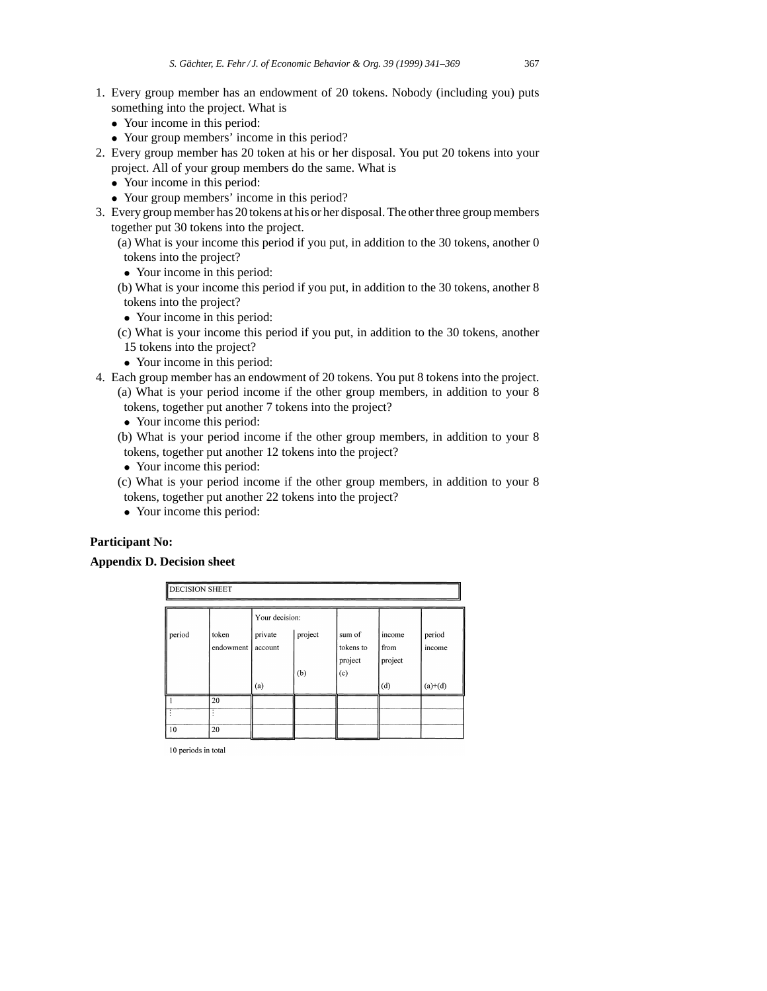- 1. Every group member has an endowment of 20 tokens. Nobody (including you) puts something into the project. What is
	- Your income in this period:
	- Your group members' income in this period?
- 2. Every group member has 20 token at his or her disposal. You put 20 tokens into your project. All of your group members do the same. What is
	- Your income in this period:
	- Your group members' income in this period?
- 3. Every group member has 20 tokens at his or her disposal. The other three group members together put 30 tokens into the project.

(a) What is your income this period if you put, in addition to the 30 tokens, another 0 tokens into the project?

• Your income in this period:

- (b) What is your income this period if you put, in addition to the 30 tokens, another 8 tokens into the project?
- Your income in this period:
- (c) What is your income this period if you put, in addition to the 30 tokens, another 15 tokens into the project?
- Your income in this period:
- 4. Each group member has an endowment of 20 tokens. You put 8 tokens into the project. (a) What is your period income if the other group members, in addition to your 8
	- tokens, together put another 7 tokens into the project?
	- Your income this period:
	- (b) What is your period income if the other group members, in addition to your 8 tokens, together put another 12 tokens into the project?
	- Your income this period:
	- (c) What is your period income if the other group members, in addition to your 8 tokens, together put another 22 tokens into the project?
	- Your income this period:

# **Participant No:**

# **Appendix D. Decision sheet**

| <b>DECISION SHEET</b> |                    |                                             |                |                                       |                                  |                               |  |  |
|-----------------------|--------------------|---------------------------------------------|----------------|---------------------------------------|----------------------------------|-------------------------------|--|--|
| period                | token<br>endowment | Your decision:<br>private<br>account<br>(a) | project<br>(b) | sum of<br>tokens to<br>project<br>(c) | income<br>from<br>project<br>(d) | period<br>income<br>$(a)+(d)$ |  |  |
| 10                    | 20<br>٠<br>20      |                                             |                |                                       |                                  |                               |  |  |

10 periods in total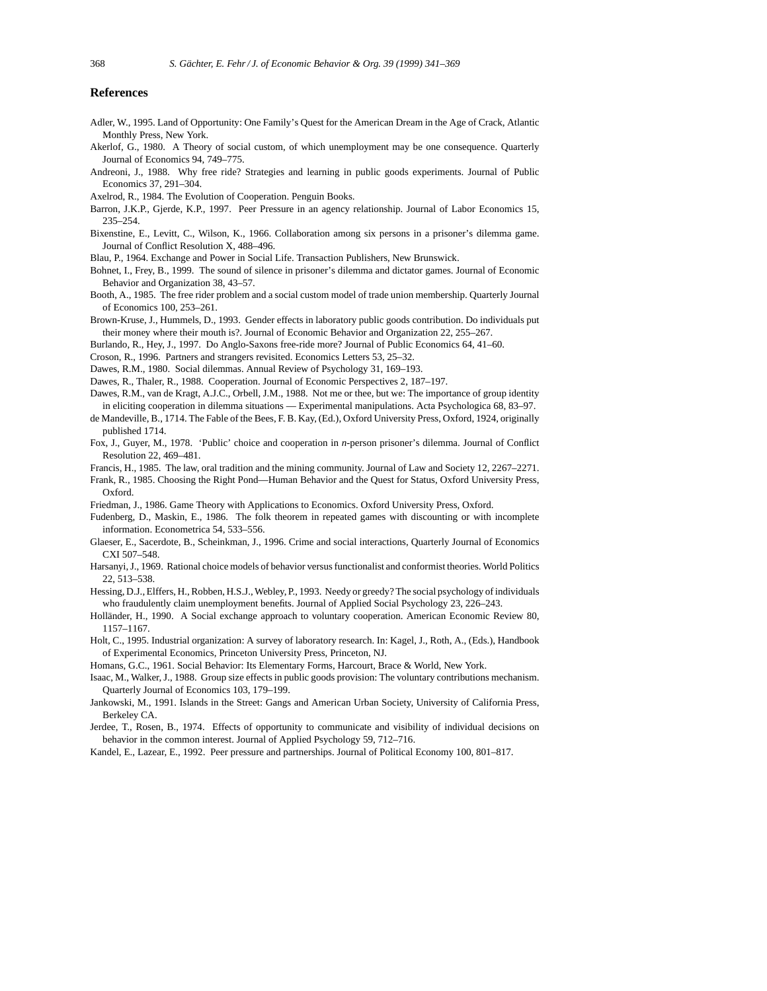#### **References**

- Adler, W., 1995. Land of Opportunity: One Family's Quest for the American Dream in the Age of Crack, Atlantic Monthly Press, New York.
- Akerlof, G., 1980. A Theory of social custom, of which unemployment may be one consequence. Quarterly Journal of Economics 94, 749–775.
- Andreoni, J., 1988. Why free ride? Strategies and learning in public goods experiments. Journal of Public Economics 37, 291–304.
- Axelrod, R., 1984. The Evolution of Cooperation. Penguin Books.
- Barron, J.K.P., Gjerde, K.P., 1997. Peer Pressure in an agency relationship. Journal of Labor Economics 15, 235–254.
- Bixenstine, E., Levitt, C., Wilson, K., 1966. Collaboration among six persons in a prisoner's dilemma game. Journal of Conflict Resolution X, 488–496.

Blau, P., 1964. Exchange and Power in Social Life. Transaction Publishers, New Brunswick.

- Bohnet, I., Frey, B., 1999. The sound of silence in prisoner's dilemma and dictator games. Journal of Economic Behavior and Organization 38, 43–57.
- Booth, A., 1985. The free rider problem and a social custom model of trade union membership. Quarterly Journal of Economics 100, 253–261.
- Brown-Kruse, J., Hummels, D., 1993. Gender effects in laboratory public goods contribution. Do individuals put their money where their mouth is?. Journal of Economic Behavior and Organization 22, 255–267.
- Burlando, R., Hey, J., 1997. Do Anglo-Saxons free-ride more? Journal of Public Economics 64, 41–60.
- Croson, R., 1996. Partners and strangers revisited. Economics Letters 53, 25–32.
- Dawes, R.M., 1980. Social dilemmas. Annual Review of Psychology 31, 169–193.
- Dawes, R., Thaler, R., 1988. Cooperation. Journal of Economic Perspectives 2, 187–197.
- Dawes, R.M., van de Kragt, A.J.C., Orbell, J.M., 1988. Not me or thee, but we: The importance of group identity in eliciting cooperation in dilemma situations — Experimental manipulations. Acta Psychologica 68, 83–97.
- de Mandeville, B., 1714. The Fable of the Bees, F. B. Kay, (Ed.), Oxford University Press, Oxford, 1924, originally published 1714.
- Fox, J., Guyer, M., 1978. 'Public' choice and cooperation in *n*-person prisoner's dilemma. Journal of Conflict Resolution 22, 469–481.
- Francis, H., 1985. The law, oral tradition and the mining community. Journal of Law and Society 12, 2267–2271.
- Frank, R., 1985. Choosing the Right Pond—Human Behavior and the Quest for Status, Oxford University Press, Oxford.
- Friedman, J., 1986. Game Theory with Applications to Economics. Oxford University Press, Oxford.
- Fudenberg, D., Maskin, E., 1986. The folk theorem in repeated games with discounting or with incomplete information. Econometrica 54, 533–556.
- Glaeser, E., Sacerdote, B., Scheinkman, J., 1996. Crime and social interactions, Quarterly Journal of Economics CXI 507–548.
- Harsanyi, J., 1969. Rational choice models of behavior versus functionalist and conformist theories. World Politics 22, 513–538.
- Hessing, D.J., Elffers, H., Robben, H.S.J., Webley, P., 1993. Needy or greedy? The social psychology of individuals who fraudulently claim unemployment benefits. Journal of Applied Social Psychology 23, 226–243.
- Holländer, H., 1990. A Social exchange approach to voluntary cooperation. American Economic Review 80, 1157–1167.
- Holt, C., 1995. Industrial organization: A survey of laboratory research. In: Kagel, J., Roth, A., (Eds.), Handbook of Experimental Economics, Princeton University Press, Princeton, NJ.
- Homans, G.C., 1961. Social Behavior: Its Elementary Forms, Harcourt, Brace & World, New York.
- Isaac, M., Walker, J., 1988. Group size effects in public goods provision: The voluntary contributions mechanism. Quarterly Journal of Economics 103, 179–199.
- Jankowski, M., 1991. Islands in the Street: Gangs and American Urban Society, University of California Press, Berkeley CA.
- Jerdee, T., Rosen, B., 1974. Effects of opportunity to communicate and visibility of individual decisions on behavior in the common interest. Journal of Applied Psychology 59, 712–716.
- Kandel, E., Lazear, E., 1992. Peer pressure and partnerships. Journal of Political Economy 100, 801–817.